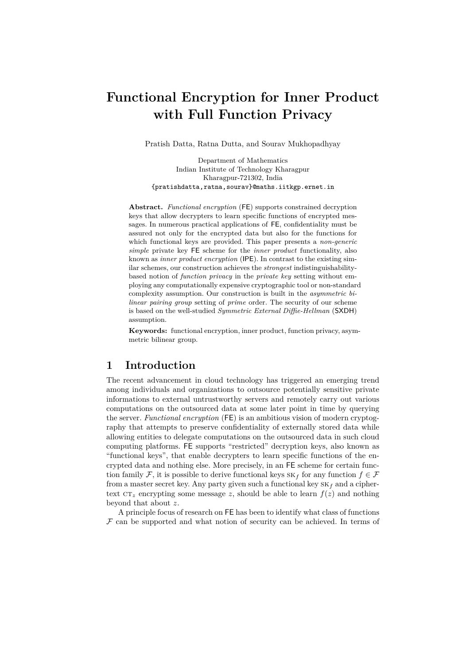# **Functional Encryption for Inner Product with Full Function Privacy**

Pratish Datta, Ratna Dutta, and Sourav Mukhopadhyay

Department of Mathematics Indian Institute of Technology Kharagpur Kharagpur-721302, India {pratishdatta,ratna,sourav}@maths.iitkgp.ernet.in

**Abstract.** *Functional encryption* (FE) supports constrained decryption keys that allow decrypters to learn specific functions of encrypted messages. In numerous practical applications of FE, confidentiality must be assured not only for the encrypted data but also for the functions for which functional keys are provided. This paper presents a *non-generic simple* private key FE scheme for the *inner product* functionality, also known as *inner product encryption* (IPE). In contrast to the existing similar schemes, our construction achieves the *strongest* indistinguishabilitybased notion of *function privacy* in the *private key* setting without employing any computationally expensive cryptographic tool or non-standard complexity assumption. Our construction is built in the *asymmetric bilinear pairing group* setting of *prime* order. The security of our scheme is based on the well-studied *Symmetric External Diffie-Hellman* (SXDH) assumption.

**Keywords:** functional encryption, inner product, function privacy, asymmetric bilinear group.

# **1 Introduction**

The recent advancement in cloud technology has triggered an emerging trend among individuals and organizations to outsource potentially sensitive private informations to external untrustworthy servers and remotely carry out various computations on the outsourced data at some later point in time by querying the server. *Functional encryption* (FE) is an ambitious vision of modern cryptography that attempts to preserve confidentiality of externally stored data while allowing entities to delegate computations on the outsourced data in such cloud computing platforms. FE supports "restricted" decryption keys, also known as "functional keys", that enable decrypters to learn specific functions of the encrypted data and nothing else. More precisely, in an FE scheme for certain function family F, it is possible to derive functional keys  $SK_f$  for any function  $f \in \mathcal{F}$ from a master secret key. Any party given such a functional key  $SK_f$  and a ciphertext  $CT_z$  encrypting some message *z*, should be able to learn  $f(z)$  and nothing beyond that about *z*.

A principle focus of research on FE has been to identify what class of functions  $F$  can be supported and what notion of security can be achieved. In terms of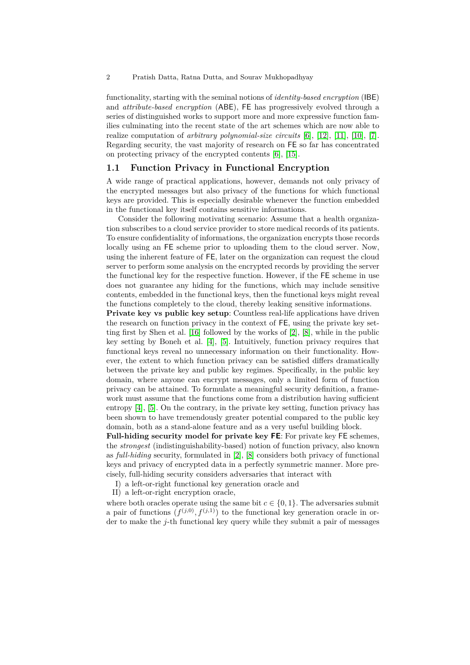functionality, starting with the seminal notions of *identity-based encryption* (IBE) and *attribute-based encryption* (ABE), FE has progressively evolved through a series of distinguished works to support more and more expressive function families culminating into the recent state of the art schemes which are now able to realize computation of *arbitrary polynomial-size circuits* [\[6\]](#page-29-0), [\[12\]](#page-29-1), [\[11\]](#page-29-2), [\[10\]](#page-29-3), [\[7\]](#page-29-4). Regarding security, the vast majority of research on FE so far has concentrated on protecting privacy of the encrypted contents [\[6\]](#page-29-0), [\[15\]](#page-29-5).

### **1.1 Function Privacy in Functional Encryption**

A wide range of practical applications, however, demands not only privacy of the encrypted messages but also privacy of the functions for which functional keys are provided. This is especially desirable whenever the function embedded in the functional key itself contains sensitive informations.

Consider the following motivating scenario: Assume that a health organization subscribes to a cloud service provider to store medical records of its patients. To ensure confidentiality of informations, the organization encrypts those records locally using an FE scheme prior to uploading them to the cloud server. Now, using the inherent feature of FE, later on the organization can request the cloud server to perform some analysis on the encrypted records by providing the server the functional key for the respective function. However, if the FE scheme in use does not guarantee any hiding for the functions, which may include sensitive contents, embedded in the functional keys, then the functional keys might reveal the functions completely to the cloud, thereby leaking sensitive informations.

**Private key vs public key setup**: Countless real-life applications have driven the research on function privacy in the context of FE, using the private key setting first by Shen et al. [\[16\]](#page-29-6) followed by the works of [\[2\]](#page-29-7), [\[8\]](#page-29-8), while in the public key setting by Boneh et al. [\[4\]](#page-29-9), [\[5\]](#page-29-10). Intuitively, function privacy requires that functional keys reveal no unnecessary information on their functionality. However, the extent to which function privacy can be satisfied differs dramatically between the private key and public key regimes. Specifically, in the public key domain, where anyone can encrypt messages, only a limited form of function privacy can be attained. To formulate a meaningful security definition, a framework must assume that the functions come from a distribution having sufficient entropy [\[4\]](#page-29-9), [\[5\]](#page-29-10). On the contrary, in the private key setting, function privacy has been shown to have tremendously greater potential compared to the public key domain, both as a stand-alone feature and as a very useful building block.

**Full-hiding security model for private key FE**: For private key FE schemes, the *strongest* (indistinguishability-based) notion of function privacy, also known as *full-hiding* security, formulated in [\[2\]](#page-29-7), [\[8\]](#page-29-8) considers both privacy of functional keys and privacy of encrypted data in a perfectly symmetric manner. More precisely, full-hiding security considers adversaries that interact with

I) a left-or-right functional key generation oracle and

II) a left-or-right encryption oracle,

where both oracles operate using the same bit  $c \in \{0, 1\}$ . The adversaries submit a pair of functions  $(f^{(j,0)}, f^{(j,1)})$  to the functional key generation oracle in order to make the *j*-th functional key query while they submit a pair of messages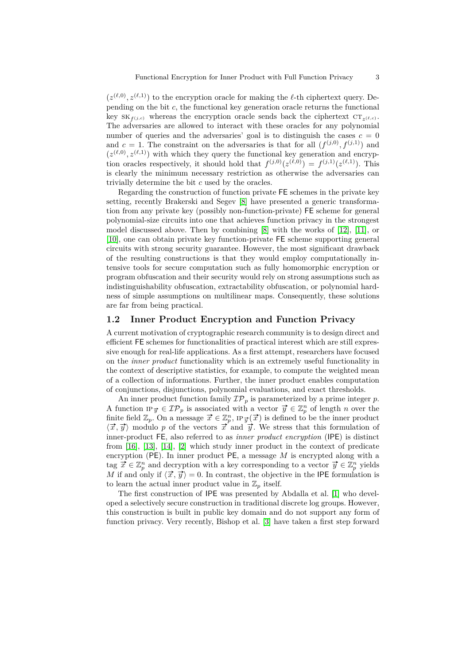$(z^{(\ell,0)}, z^{(\ell,1)})$  to the encryption oracle for making the  $\ell$ -th ciphertext query. Depending on the bit  $c$ , the functional key generation oracle returns the functional key  $SK_{f^{(j,c)}}$  whereas the encryption oracle sends back the ciphertext  $CT_{z^{(\ell,c)}}$ . The adversaries are allowed to interact with these oracles for any polynomial number of queries and the adversaries' goal is to distinguish the cases  $c = 0$ and  $c = 1$ . The constraint on the adversaries is that for all  $(f^{(j,0)}, f^{(j,1)})$  and  $(z^{(\ell,0)}, z^{(\ell,1)})$  with which they query the functional key generation and encryption oracles respectively, it should hold that  $f^{(j,0)}(z^{(\ell,0)}) = f^{(j,1)}(z^{(\ell,1)})$ . This is clearly the minimum necessary restriction as otherwise the adversaries can trivially determine the bit *c* used by the oracles.

Regarding the construction of function private FE schemes in the private key setting, recently Brakerski and Segev [\[8\]](#page-29-8) have presented a generic transformation from any private key (possibly non-function-private) FE scheme for general polynomial-size circuits into one that achieves function privacy in the strongest model discussed above. Then by combining [\[8\]](#page-29-8) with the works of [\[12\]](#page-29-1), [\[11\]](#page-29-2), or [\[10\]](#page-29-3), one can obtain private key function-private FE scheme supporting general circuits with strong security guarantee. However, the most significant drawback of the resulting constructions is that they would employ computationally intensive tools for secure computation such as fully homomorphic encryption or program obfuscation and their security would rely on strong assumptions such as indistinguishability obfuscation, extractability obfuscation, or polynomial hardness of simple assumptions on multilinear maps. Consequently, these solutions are far from being practical.

### **1.2 Inner Product Encryption and Function Privacy**

A current motivation of cryptographic research community is to design direct and efficient FE schemes for functionalities of practical interest which are still expressive enough for real-life applications. As a first attempt, researchers have focused on the *inner product* functionality which is an extremely useful functionality in the context of descriptive statistics, for example, to compute the weighted mean of a collection of informations. Further, the inner product enables computation of conjunctions, disjunctions, polynomial evaluations, and exact thresholds.

An inner product function family  $\mathcal{IP}_p$  is parameterized by a prime integer  $p$ . A function  $\text{IP}_{\vec{y}} \in \mathcal{IP}_p$  is associated with a vector  $\vec{y} \in \mathbb{Z}_p^n$  of length *n* over the finite field  $\mathbb{Z}_p$ . On a message  $\vec{x} \in \mathbb{Z}_p^n$ ,  $\text{IP}_{\vec{x}}(\vec{x})$  is defined to be the inner product  $\langle \vec{x}, \vec{y} \rangle$  modulo *p* of the vectors  $\vec{x}$  and  $\vec{y}$ . We stress that this formulation of inner-product FE, also referred to as *inner product encryption* (IPE) is distinct from [\[16\]](#page-29-6), [\[13\]](#page-29-11), [\[14\]](#page-29-12), [\[2\]](#page-29-7) which study inner product in the context of predicate encryption (PE). In inner product PE, a message *M* is encrypted along with a tag  $\vec{x} \in \mathbb{Z}_p^n$  and decryption with a key corresponding to a vector  $\vec{y} \in \mathbb{Z}_p^n$  yields  $M$  if and only if  $\langle \vec{x}, \vec{y} \rangle = 0$ . In contrast, the objective in the IPE formulation is to learn the actual inner product value in  $\mathbb{Z}_p$  itself.

The first construction of IPE was presented by Abdalla et al. [\[1\]](#page-29-13) who developed a selectively secure construction in traditional discrete log groups. However, this construction is built in public key domain and do not support any form of function privacy. Very recently, Bishop et al. [\[3\]](#page-29-14) have taken a first step forward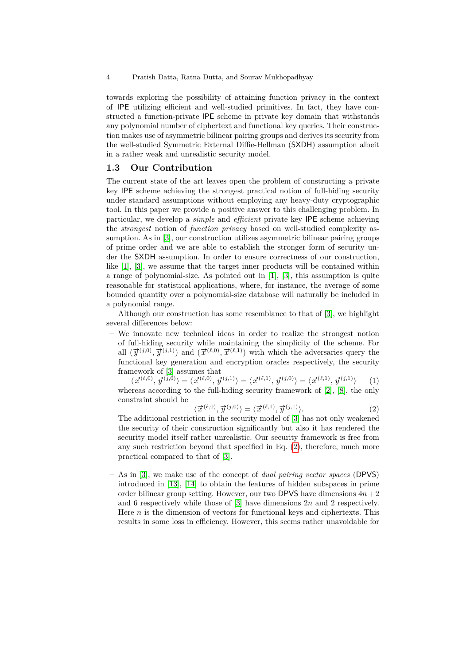towards exploring the possibility of attaining function privacy in the context of IPE utilizing efficient and well-studied primitives. In fact, they have constructed a function-private IPE scheme in private key domain that withstands any polynomial number of ciphertext and functional key queries. Their construction makes use of asymmetric bilinear pairing groups and derives its security from the well-studied Symmetric External Diffie-Hellman (SXDH) assumption albeit in a rather weak and unrealistic security model.

### **1.3 Our Contribution**

The current state of the art leaves open the problem of constructing a private key IPE scheme achieving the strongest practical notion of full-hiding security under standard assumptions without employing any heavy-duty cryptographic tool. In this paper we provide a positive answer to this challenging problem. In particular, we develop a *simple* and *efficient* private key IPE scheme achieving the *strongest* notion of *function privacy* based on well-studied complexity assumption. As in [\[3\]](#page-29-14), our construction utilizes asymmetric bilinear pairing groups of prime order and we are able to establish the stronger form of security under the SXDH assumption. In order to ensure correctness of our construction, like [\[1\]](#page-29-13), [\[3\]](#page-29-14), we assume that the target inner products will be contained within a range of polynomial-size. As pointed out in [\[1\]](#page-29-13), [\[3\]](#page-29-14), this assumption is quite reasonable for statistical applications, where, for instance, the average of some bounded quantity over a polynomial-size database will naturally be included in a polynomial range.

Although our construction has some resemblance to that of [\[3\]](#page-29-14), we highlight several differences below:

**–** We innovate new technical ideas in order to realize the strongest notion of full-hiding security while maintaining the simplicity of the scheme. For all  $(\vec{y}^{(j,0)}, \vec{y}^{(j,1)})$  and  $(\vec{x}^{(\ell,0)}, \vec{x}^{(\ell,1)})$  with which the adversaries query the functional key generation and encryption oracles respectively, the security framework of [\[3\]](#page-29-14) assumes that

 $\langle \vec{x}^{(\ell,0)}, \vec{y}^{(j,0)} \rangle = \langle \vec{x}^{(\ell,0)}, \vec{y}^{(j,1)} \rangle = \langle \vec{x}^{(\ell,1)}, \vec{y}^{(j,0)} \rangle = \langle \vec{x}^{(\ell,1)}, \vec{y}^{(j,1)} \rangle$  (1) whereas according to the full-hiding security framework of [\[2\]](#page-29-7), [\[8\]](#page-29-8), the only constraint should be

<span id="page-3-1"></span><span id="page-3-0"></span>
$$
\langle \vec{x}^{(\ell,0)}, \vec{y}^{(j,0)} \rangle = \langle \vec{x}^{(\ell,1)}, \vec{y}^{(j,1)} \rangle.
$$
 (2)

The additional restriction in the security model of [\[3\]](#page-29-14) has not only weakened the security of their construction significantly but also it has rendered the security model itself rather unrealistic. Our security framework is free from any such restriction beyond that specified in Eq. [\(2\)](#page-3-0), therefore, much more practical compared to that of [\[3\]](#page-29-14).

**–** As in [\[3\]](#page-29-14), we make use of the concept of *dual pairing vector spaces* (DPVS) introduced in [\[13\]](#page-29-11), [\[14\]](#page-29-12) to obtain the features of hidden subspaces in prime order bilinear group setting. However, our two DPVS have dimensions  $4n+2$ and 6 respectively while those of [\[3\]](#page-29-14) have dimensions 2*n* and 2 respectively. Here *n* is the dimension of vectors for functional keys and ciphertexts. This results in some loss in efficiency. However, this seems rather unavoidable for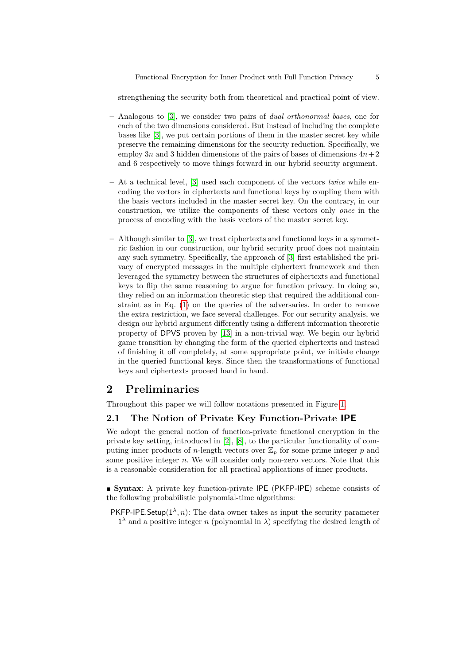strengthening the security both from theoretical and practical point of view.

- **–** Analogous to [\[3\]](#page-29-14), we consider two pairs of *dual orthonormal bases*, one for each of the two dimensions considered. But instead of including the complete bases like [\[3\]](#page-29-14), we put certain portions of them in the master secret key while preserve the remaining dimensions for the security reduction. Specifically, we employ 3*n* and 3 hidden dimensions of the pairs of bases of dimensions  $4n+2$ and 6 respectively to move things forward in our hybrid security argument.
- **–** At a technical level, [\[3\]](#page-29-14) used each component of the vectors *twice* while encoding the vectors in ciphertexts and functional keys by coupling them with the basis vectors included in the master secret key. On the contrary, in our construction, we utilize the components of these vectors only *once* in the process of encoding with the basis vectors of the master secret key.
- **–** Although similar to [\[3\]](#page-29-14), we treat ciphertexts and functional keys in a symmetric fashion in our construction, our hybrid security proof does not maintain any such symmetry. Specifically, the approach of [\[3\]](#page-29-14) first established the privacy of encrypted messages in the multiple ciphertext framework and then leveraged the symmetry between the structures of ciphertexts and functional keys to flip the same reasoning to argue for function privacy. In doing so, they relied on an information theoretic step that required the additional constraint as in Eq. [\(1\)](#page-3-1) on the queries of the adversaries. In order to remove the extra restriction, we face several challenges. For our security analysis, we design our hybrid argument differently using a different information theoretic property of DPVS proven by [\[13\]](#page-29-11) in a non-trivial way. We begin our hybrid game transition by changing the form of the queried ciphertexts and instead of finishing it off completely, at some appropriate point, we initiate change in the queried functional keys. Since then the transformations of functional keys and ciphertexts proceed hand in hand.

# **2 Preliminaries**

Throughout this paper we will follow notations presented in Figure [1.](#page-5-0)

### <span id="page-4-0"></span>**2.1 The Notion of Private Key Function-Private IPE**

We adopt the general notion of function-private functional encryption in the private key setting, introduced in [\[2\]](#page-29-7), [\[8\]](#page-29-8), to the particular functionality of computing inner products of *n*-length vectors over  $\mathbb{Z}_p$  for some prime integer *p* and some positive integer *n*. We will consider only non-zero vectors. Note that this is a reasonable consideration for all practical applications of inner products.

**Syntax:** A private key function-private IPE (PKFP-IPE) scheme consists of the following probabilistic polynomial-time algorithms:

**PKFP-IPE.Setup(** $1^{\lambda}, n$ **):** The data owner takes as input the security parameter  $1<sup>λ</sup>$  and a positive integer *n* (polynomial in *λ*) specifying the desired length of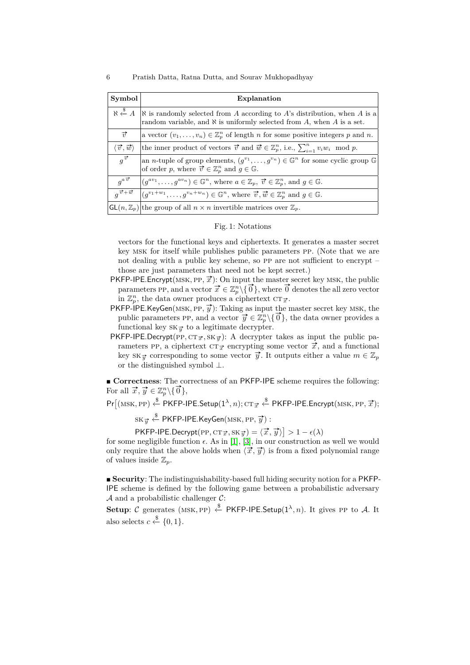<span id="page-5-0"></span>

| Symbol                              | Explanation                                                                                                                                                                                       |
|-------------------------------------|---------------------------------------------------------------------------------------------------------------------------------------------------------------------------------------------------|
| $\aleph \overset{\$}{\leftarrow} A$ | $\aleph$ is randomly selected from A according to A's distribution, when A is a<br>random variable, and $\aleph$ is uniformly selected from A, when A is a set.                                   |
| $\overrightarrow{v}$                | a vector $(v_1, \ldots, v_n) \in \mathbb{Z}_p^n$ of length <i>n</i> for some positive integers <i>p</i> and <i>n</i> .                                                                            |
| $\langle \vec{v}, \vec{w} \rangle$  | the inner product of vectors $\vec{v}$ and $\vec{w} \in \mathbb{Z}_p^n$ , i.e., $\sum_{i=1}^n v_i w_i \mod p$ .                                                                                   |
| $q^{\overrightarrow{v}}$            | an <i>n</i> -tuple of group elements, $(g^{v_1}, \ldots, g^{v_n}) \in \mathbb{G}^n$ for some cyclic group $\mathbb{G}$<br>of order p, where $\vec{v} \in \mathbb{Z}_p^n$ and $g \in \mathbb{G}$ . |
| $g^{a\overrightarrow{v}}$           | $ (q^{av_1}, \ldots, q^{av_n}) \in \mathbb{G}^n$ , where $a \in \mathbb{Z}_p$ , $\vec{v} \in \mathbb{Z}_p^n$ , and $g \in \mathbb{G}$ .                                                           |
| $q^{\vec{v}+\vec{w}}$               | $(q^{v_1+w_1}, \ldots, q^{v_n+w_n}) \in \mathbb{G}^n$ , where $\vec{v}, \vec{w} \in \mathbb{Z}_p^n$ and $g \in \mathbb{G}$ .                                                                      |
|                                     | $GL(n, \mathbb{Z}_p)$ the group of all $n \times n$ invertible matrices over $\mathbb{Z}_p$ .                                                                                                     |

#### Fig. 1: Notations

vectors for the functional keys and ciphertexts. It generates a master secret key msk for itself while publishes public parameters pp. (Note that we are not dealing with a public key scheme, so pp are not sufficient to encrypt – those are just parameters that need not be kept secret.)

- PKFP-IPE.Encrypt(MSK, PP,  $\vec{x}$ ): On input the master secret key MSK, the public  $\forall r \in \text{Perc}$  is encrypt (MSK, PP, x): On input the master secret key MSK, the public parameters PP, and a vector  $\vec{x} \in \mathbb{Z}_p^n \setminus \{\vec{0}\}\text{, where } \vec{0}$  denotes the all zero vector in  $\mathbb{Z}_p^n$ , the data owner produces a ciphertext  $c_T$ .
- $P$ KFP-IPE.KeyGen(MSK, PP,  $\vec{y}$ ): Taking as input the master secret key MSK, the  $\sum_{i=1}^{n} P_i P_i$  and a vector  $\vec{y} \in \mathbb{Z}_p^n \setminus \{\vec{0}\}\$ , the data owner provides a public parameters PP, and a vector  $\vec{y} \in \mathbb{Z}_p^n \setminus \{\vec{0}\}\$ , the data owner provides a functional key  $SK_{\vec{v}}$  to a legitimate decrypter.
- **PKFP-IPE.Decrypt(PP,**  $CT_{\vec{x}}$ **,**  $SK_{\vec{y}}$ **): A decrypter takes as input the public pa**rameters PP, a ciphertext  $CT_{\vec{x}}$  encrypting some vector  $\vec{x}$ , and a functional key  $\mathsf{SK}_{\vec{v}}$  corresponding to some vector  $\vec{y}$ . It outputs either a value  $m \in \mathbb{Z}_p$ or the distinguished symbol ⊥.

 **Correctness**: The correctness of an PKFP-IPE scheme requires the following: ■ **Correctness**: The co<br>For all  $\vec{x}, \vec{y} \in \mathbb{Z}_p^n \setminus \{\vec{0}\},\}$ 

 $Pr[(\text{MSK}, \text{PP}) \stackrel{\$}{\leftarrow} P$ KFP-IPE.Setup $(1^{\lambda}, n);$  CT<sub> $\vec{x} \stackrel{\$}{\leftarrow} P$ KFP-IPE.Encrypt $(\text{MSK}, \text{PP}, \vec{x});$ </sub>

 $\mathrm{SK}_{\overrightarrow{y}} \overset{\$}{\leftarrow}$  PKFP-IPE.KeyGen $(\mathrm{MSK}, \mathrm{PP}, \overrightarrow{y})$  :

 $\mathsf{PKFP-IPE.Decrypt}(\mathsf{PP}, \mathsf{CT}_{\overrightarrow{x}}, \mathsf{SK}_{\overrightarrow{y}}) = \langle \overrightarrow{x}, \overrightarrow{y} \rangle \big] > 1 - \epsilon(\lambda)$ 

for some negligible function  $\epsilon$ . As in [\[1\]](#page-29-13), [\[3\]](#page-29-14), in our construction as well we would only require that the above holds when  $\langle \vec{x}, \vec{y} \rangle$  is from a fixed polynomial range of values inside  $\mathbb{Z}_p$ .

 **Security**: The indistinguishability-based full hiding security notion for a PKFP-IPE scheme is defined by the following game between a probabilistic adversary  $A$  and a probabilistic challenger  $C$ :

**Setup**: C generates (MSK, PP)  $\xleftarrow{\$}$  PKFP-IPE. Setup( $1^\lambda, n$ ). It gives PP to A. It also selects  $c \stackrel{\$}{\leftarrow} \{0,1\}.$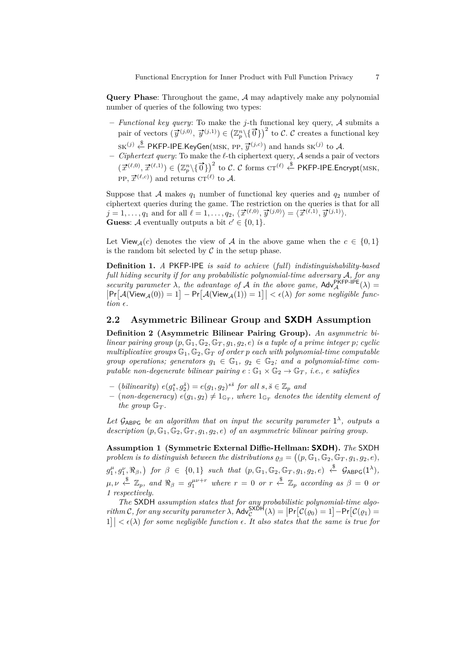**Query Phase**: Throughout the game, A may adaptively make any polynomial number of queries of the following two types:

- **–** *Functional key query*: To make the *j*-th functional key query, A submits a pair of vectors  $(\vec{y}^{(j,0)}, \vec{y}^{(j,1)}) \in (\mathbb{Z}_p^n \setminus {\{\vec{0}\}})^2$  to C. C creates a functional key  $SK^{(j)} \stackrel{\$}{\leftarrow}$  PKFP-IPE.KeyGen(MSK, PP,  $\overrightarrow{y}^{(j,c)}$ ) and hands  $SK^{(j)}$  to A.
- $-$  *Ciphertext query*: To make the  $\ell$ -th ciphertext query,  $\mathcal{A}$  sends a pair of vectors  $(\vec{x}^{(\ell,0)}, \vec{x}^{(\ell,1)}) \in (\mathbb{Z}_p^n \setminus {\{\vec{0}\}})^2$  to C. C forms  $\text{CT}^{(\ell)} \stackrel{\$}{\sim} \text{PKFP-IPE.}$  Encrypt(MSK,  $\overrightarrow{x}^{(\ell,c)}$  and returns  $\overrightarrow{cr}^{(\ell)}$  to A.

Suppose that  $A$  makes  $q_1$  number of functional key queries and  $q_2$  number of ciphertext queries during the game. The restriction on the queries is that for all  $j = 1, ..., q_1$  and for all  $\ell = 1, ..., q_2, \langle \vec{x}^{(\ell,0)}, \vec{y}^{(j,0)} \rangle = \langle \vec{x}^{(\ell,1)}, \vec{y}^{(j,1)} \rangle$ . **Guess:** A eventually outputs a bit  $c' \in \{0, 1\}.$ 

Let View<sub>A</sub>(*c*) denotes the view of A in the above game when the  $c \in \{0,1\}$ is the random bit selected by  $\mathcal C$  in the setup phase.

**Definition 1.** *A* PKFP-IPE *is said to achieve* (*full*) *indistinguishability-based full hiding security if for any probabilistic polynomial-time adversary* A*, for any security parameter*  $\lambda$ *, the advantage of*  $\mathcal A$  *in the above game,*  $\mathsf{Adv}_{\mathcal A}^{\mathsf{PKFP-IPE}}$  $\overline{\phantom{a}}$  $A^{\text{PKP-IPE}}(\lambda) =$  $\left| \Pr[\mathcal{A}(\mathsf{View}_{\mathcal{A}}(0)) = 1] - \Pr[\mathcal{A}(\mathsf{View}_{\mathcal{A}}(1)) = 1] \right| < \epsilon(\lambda)$  for some negligible func- $$ 

### **2.2 Asymmetric Bilinear Group and SXDH Assumption**

**Definition 2 (Asymmetric Bilinear Pairing Group).** *An asymmetric bilinear pairing group*  $(p, \mathbb{G}_1, \mathbb{G}_2, \mathbb{G}_T, g_1, g_2, e)$  *is a tuple of a prime integer p; cyclic multiplicative groups*  $\mathbb{G}_1$ ,  $\mathbb{G}_2$ ,  $\mathbb{G}_T$  *of order p each with polynomial-time computable group operations; generators*  $g_1 \in \mathbb{G}_1$ ,  $g_2 \in \mathbb{G}_2$ ; and a polynomial-time com*putable non-degenerate bilinear pairing*  $e : \mathbb{G}_1 \times \mathbb{G}_2 \to \mathbb{G}_T$ , *i.e.*, *e satisfies* 

- $-$  (*bilinearity*)  $e(g_1^s, g_2^s) = e(g_1, g_2)^{s\check{s}}$  for all  $s, \check{s} \in \mathbb{Z}_p$  and
- $-$  (non-degeneracy)  $e(g_1, g_2) \neq 1_{\mathbb{G}_T}$ , where  $1_{\mathbb{G}_T}$  denotes the identity element of *the group*  $\mathbb{G}_T$ *.*

Let  $G_{ABPG}$  be an algorithm that on input the security parameter  $1^{\lambda}$ , outputs a *description*  $(p, \mathbb{G}_1, \mathbb{G}_2, \mathbb{G}_T, g_1, g_2, e)$  of an asymmetric bilinear pairing group.

**Assumption 1 (Symmetric External Diffie-Hellman: SXDH).** *The* SXDH *problem is to distinguish between the distributions*  $\rho_{\beta} = ((p, \mathbb{G}_1, \mathbb{G}_2, \mathbb{G}_T, g_1, g_2, e)$ ,  $g_1^{\mu},g_1^{\nu},\Re_{\beta},\big)$  for  $\beta \in \{0,1\}$  such that  $(p,\mathbb{G}_1,\mathbb{G}_2,\mathbb{G}_T,g_1,g_2,e) \stackrel{\$}{\leftarrow} \mathcal{G}_{\mathsf{ABPG}}(1^{\lambda}),$  $\mu, \nu \stackrel{\$}{\leftarrow} \mathbb{Z}_p$ , and  $\Re_\beta = g_1^{\mu\nu+r}$  where  $r = 0$  or  $r \stackrel{\$}{\leftarrow} \mathbb{Z}_p$  according as  $\beta = 0$  or *1 respectively.*

*The* SXDH *assumption states that for any probabilistic polynomial-time algo* $rithm \mathcal{C}$ , for any security parameter  $\lambda$ ,  $\mathsf{Adv}_{\mathcal{C}}^{\mathsf{SXDH}}(\lambda) = \left| \mathsf{Pr}\left[\mathcal{C}(\varrho_0) = 1 \right] - \mathsf{Pr}\left[\mathcal{C}(\varrho_1) = 1 \right] \right|$  $1] | < \epsilon(\lambda)$  for some negligible function  $\epsilon$ . It also states that the same is true for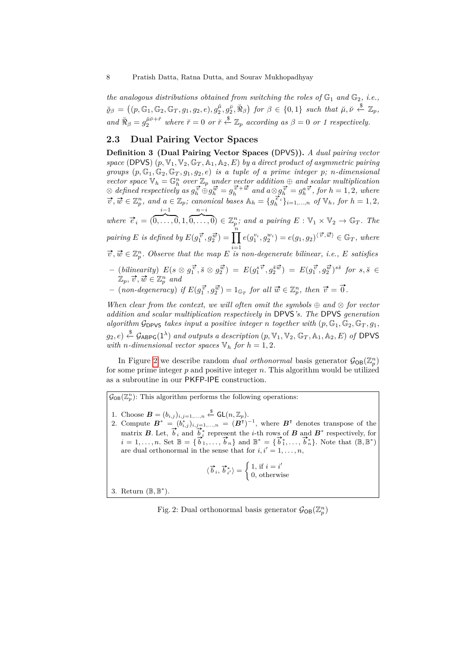*the analogous distributions obtained from switching the roles of*  $\mathbb{G}_1$  *and*  $\mathbb{G}_2$ *, i.e.*,  $\breve{\varrho}_{\beta} = \left( (p, \mathbb{G}_1, \mathbb{G}_2, \mathbb{G}_T, g_1, g_2, e), g_2^{\breve{\mu}}, g_2^{\breve{\nu}}, \breve{\Re}_{\beta} \right) \text{ for } \beta \in \{0,1\} \text{ such that } \breve{\mu}, \breve{\nu} \stackrel{\$}{\leftarrow} \mathbb{Z}_p,$  $\partial^2 \mathbf{R} = g_2^{\mu\nu + \tilde{r}}$  where  $\tilde{r} = 0$  or  $\tilde{r} \stackrel{\$}{\leftarrow} \mathbb{Z}_p$  according as  $\beta = 0$  or 1 respectively.

## **2.3 Dual Pairing Vector Spaces**

**Definition 3 (Dual Pairing Vector Spaces (**DPVS**)).** *A dual pairing vector*  $space$  (DPVS)  $(p, \mathbb{V}_1, \mathbb{V}_2, \mathbb{G}_T, \mathbb{A}_1, \mathbb{A}_2, E)$  *by a direct product of asymmetric pairing groups*  $(p, \mathbb{G}_1, \mathbb{G}_2, \mathbb{G}_T, g_1, g_2, e)$  *is a tuple of a prime integer p; n-dimensional vector space*  $\mathbb{V}_h = \mathbb{G}_h^n$  *over*  $\mathbb{Z}_p$  *under vector addition*  $\oplus$  *and scalar multiplication*  $\emptyset$  defined respectively as  $g_h^{\vec{v}} \oplus g_h^{\vec{w}} = g_h^{\vec{v}+\vec{w}}$  and  $a \otimes g_h^{\vec{v}} = g_h^{a\vec{v}}$ , for  $h = 1, 2$ , where<br>  $\vec{v}, \vec{w} \in \mathbb{Z}_p^n$ , and  $a \in \mathbb{Z}_p$ ; canonical bases  $\mathbb{A}_h = \{g_h^{\vec{e}_i}\}_{i=1,...,n}$  of  $\mathbb{V}_h$ , *where*  $\vec{e}_i = (\overbrace{0, \ldots}^{i-1})$  ${\overbrace{0,\ldots,0}} , 1,$ *n*−*i*  $\overline{0, \ldots, 0}$   $\in \mathbb{Z}_p^n$ ; and a pairing  $E : \mathbb{V}_1 \times \mathbb{V}_2 \rightarrow \mathbb{G}_T$ . The pairing E is defined by  $E(g_1^{\vec{v}}, g_2^{\vec{w}}) = \prod^n e(g_1^{v_i}, g_2^{w_i}) = e(g_1, g_2)^{\langle \vec{v}, \vec{w} \rangle} \in \mathbb{G}_T$ , where

 $\vec{v}, \vec{w} \in \mathbb{Z}_p^n$ . Observe that the map  $E$  is non-degenerate bilinear, i.e.,  $E$  satisfies

- $-$  (bilinearity)  $E(s \otimes g_1^{\vec{v}}, \breve{s} \otimes g_2^{\vec{w}}) = E(g_1^{s\vec{v}}, g_2^{s\vec{w}}) = E(g_1^{\vec{v}}, g_2^{\vec{w}})^{s\breve{s}}$  for  $s, \breve{s} \in$  $\mathbb{Z}_p$ ,  $\overrightarrow{v}$ ,  $\overrightarrow{w} \in \mathbb{Z}_p^n$  and
- $\mathbb{Z}_p, v, w \in \mathbb{Z}_p$  and<br>  $-$  (*non-degeneracy*) if  $E(g_1^{\vec{v}}, g_2^{\vec{w}}) = 1_{\mathbb{G}_T}$  for all  $\vec{w} \in \mathbb{Z}_p^n$ , then  $\vec{v} = \vec{0}$ .

*When clear from the context, we will often omit the symbols*  $\oplus$  *and*  $\otimes$  *for vector addition and scalar multiplication respectively in* DPVS*'s. The* DPVS *generation algorithm*  $\mathcal{G}_{\text{DPVS}}$  *takes input a positive integer n together with*  $(p, \mathbb{G}_1, \mathbb{G}_2, \mathbb{G}_T, g_1,$  $g_2, e) \overset{\$}{\leftarrow}$  G<sub>ABPG</sub>(1<sup> $\lambda$ </sup>) and outputs a description  $(p, \mathbb{V}_1, \mathbb{V}_2, \mathbb{G}_T, \mathbb{A}_1, \mathbb{A}_2, E)$  of DPVS *with n*-dimensional vector spaces  $\nabla_h$  *for*  $h = 1, 2$ *.* 

In Figure [2](#page-7-0) we describe random *dual orthonormal* basis generator  $\mathcal{G}_{OB}(\mathbb{Z}_p^n)$ for some prime integer *p* and positive integer *n*. This algorithm would be utilized as a subroutine in our PKFP-IPE construction.

<span id="page-7-0"></span> $\mathcal{G}_{OB}(\mathbb{Z}_p^n)$ : This algorithm performs the following operations:

- 1. Choose  $\mathbf{B} = (b_{i,j})_{i,j=1,\ldots,n} \overset{\$}{\leftarrow} \mathsf{GL}(n,\mathbb{Z}_p).$
- 2. Compute  $B^* = (b^*_{i,j})_{i,j=1,\dots,n} = (B^{\dagger})^{-1}$ , where  $B^{\dagger}$  denotes transpose of the compute  $B = (b_{i,j})_{i,j=1,...,n} = (B')$ , where  $B$  denotes transpose of the matrix  $B$ . Let,  $\vec{b}_i$  and  $\vec{b}_i^*$  represent the *i*-th rows of  $B$  and  $B^*$  respectively, for *i* = 1, ..., *n*. Set  $\mathbb{B} = {\overrightarrow{b}_1, \ldots, \overrightarrow{b}_n}$  and  $\mathbb{B}^* = {\overrightarrow{b}_1^*, \ldots, \overrightarrow{b}_n^*}$ . Note that  $(\mathbb{B}, \mathbb{B}^*)$ are dual orthonormal in the sense that for  $i, i' = 1, \ldots, n$ ,

$$
\langle \overrightarrow{b}_i, \overrightarrow{b}_{i'}^* \rangle = \begin{cases} 1, \text{ if } i = i' \\ 0, \text{ otherwise} \end{cases}
$$

<span id="page-7-1"></span>3. Return (B*,* B ∗ ).

Fig. 2: Dual orthonormal basis generator  $\mathcal{G}_{OB}(\mathbb{Z}_p^n)$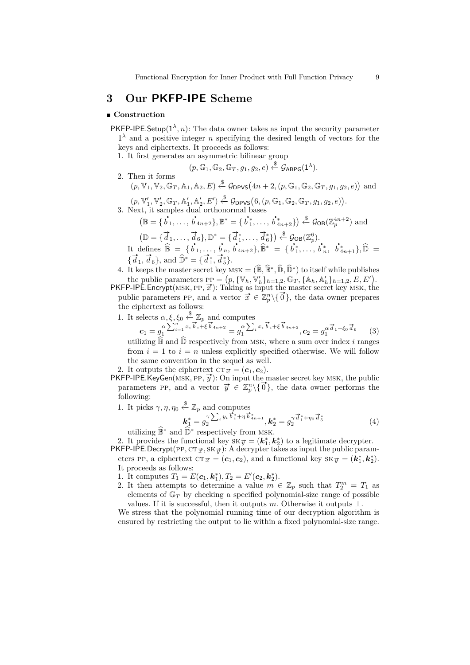# **3 Our PKFP-IPE Scheme**

#### **Construction**

- **PKFP-IPE.Setup(** $1^{\lambda}, n$ **):** The data owner takes as input the security parameter  $1<sup>\lambda</sup>$  and a positive integer *n* specifying the desired length of vectors for the keys and ciphertexts. It proceeds as follows:
	- 1. It first generates an asymmetric bilinear group

$$
(p, \mathbb{G}_1, \mathbb{G}_2, \mathbb{G}_T, g_1, g_2, e) \stackrel{\$}{\leftarrow} \mathcal{G}_{\mathsf{ABPG}}(1^{\lambda}).
$$

2. Then it forms  $(p, \mathbb{V}_1, \mathbb{V}_2, \mathbb{G}_T, \mathbb{A}_1, \mathbb{A}_2, E) \xleftarrow{\$} \mathcal{G}_{\text{DPVS}}(4n+2, (p, \mathbb{G}_1, \mathbb{G}_2, \mathbb{G}_T, g_1, g_2, e))$  and

 $(p, \mathbb{V}'_1, \mathbb{V}'_2, \mathbb{G}_T, \mathbb{A}'_1, \mathbb{A}'_2, E') \xleftarrow{\$} \mathcal{G}_{\text{DPVS}}(6, (p, \mathbb{G}_1, \mathbb{G}_2, \mathbb{G}_T, g_1, g_2, e)).$ 

3. Next, it samples dual orthonormal bases  
\n
$$
(\mathbb{B} = {\vec{b}_1, \dots, \vec{b}_{4n+2}}, \mathbb{B}^* = {\vec{b}_1^*, \dots, \vec{b}_{4n+2}} \stackrel{\$}{\longleftrightarrow} \mathcal{G}_{OB}(\mathbb{Z}_p^{4n+2})
$$
 and  
\n
$$
(\mathbb{D} = {\vec{d}_1, \dots, \vec{d}_6}, \mathbb{D}^* = {\vec{d}_1^*, \dots, \vec{d}_6^*}) \stackrel{\$}{\longleftrightarrow} \mathcal{G}_{OB}(\mathbb{Z}_p^6).
$$
\nIt defines  $\widehat{\mathbb{B}} = {\vec{b}_1, \dots, \vec{b}_n, \vec{b}_{4n+2}}, \widehat{\mathbb{B}}^* = {\vec{b}_1^*, \dots, \vec{b}_n^*, \vec{b}_{4n+1}^*, \widehat{\mathbb{D}} =$   
\n
$$
{\vec{d}_1, \vec{d}_6}, \text{ and } \widehat{\mathbb{D}}^* = {\vec{d}_1^*, \vec{d}_5^*}.
$$

4. It keeps the master secret key  $MSK = (\widehat{\mathbb{B}}, \widehat{\mathbb{B}}^*, \widehat{\mathbb{D}}, \widehat{\mathbb{D}}^*)$  to itself while publishes the public parameters  $PP = (p, \{V_h, V_h'\}_{h=1,2}, \mathbb{G}_T, \{\mathbb{A}_h, \mathbb{A}_h'\}_{h=1,2}, E, E').$ 

For the public parameters  $PP = (p, \{v_h, v_h\}_{h=1,2}^K, \Psi_T, \{\mathbb{A}_h, \mathbb{A}_h\}_{h=1,2}^K, E, E)$ .<br>PKFP-IPE.Encrypt(MSK, PP,  $\vec{x}$ ): Taking as input the master secret key MSK, the public parameters pp, and a vector  $\vec{x} \in \mathbb{Z}_p^n \setminus \{\vec{0}\}\)$ , the data owner prepares the ciphertext as follows:

1. It selects  $\alpha, \xi, \xi_0 \stackrel{\$}{\leftarrow} \mathbb{Z}_p$  and computes  $c_1 = g_1^{\alpha} \sum_{i=1}^n x_i \overrightarrow{b}_i + \overrightarrow{b}_i^{\alpha} + \overrightarrow{b}_{4n+2}^{\alpha}$  $\frac{\alpha}{1} \sum_{i=1}^{n} x_i \overrightarrow{b}_i + \xi \overrightarrow{b}_{4n+2} = g_1^{\alpha} \sum_i x_i \overrightarrow{b}_i + \xi \overrightarrow{b}_{4n+2}$  $\int_{1}^{\alpha} \sum_{i} x_{i} \overrightarrow{b}_{i} + \xi \overrightarrow{b}_{4n+2}, c_{2} = g_{1}^{\alpha} \overrightarrow{d}_{1} + \xi_{0} \overrightarrow{d}_{6}$ (3)

<span id="page-8-0"></span>utilizing  $\widehat{\mathbb{B}}$  and  $\widehat{\mathbb{D}}$  respectively from MSK, where a sum over index *i* ranges from  $i = 1$  to  $i = n$  unless explicitly specified otherwise. We will follow the same convention in the sequel as well.

- 2. It outputs the ciphertext  $CT_{\vec{x}} = (c_1, c_2)$ .
- 2. It outputs the ciphertext  $C_1 \neq C_1, C_2$ .<br>
PKFP-IPE.KeyGen(MSK, PP,  $\vec{y}$ ): On input the master secret key MSK, the public  $\sum_{i=1}^{n} P_i P_i$  (*n*)  $\sum_{i=1}^{n} P_i P_i$  (*j*)  $\sum_{i=1}^{n} P_i P_i$  (*j*), the data owner performs the following:
	- 1. It picks  $\gamma, \eta, \eta_0 \overset{\$}{\leftarrow} \mathbb{Z}_p$  and computes

<span id="page-8-1"></span>
$$
\mathbf{k}_{1}^{*} = g_{2}^{\gamma \sum_{i} y_{i} \vec{b}_{i}^{*} + \eta \vec{b}_{4n+1}^{*}}, \mathbf{k}_{2}^{*} = g_{2}^{\gamma \vec{d}_{1}^{*} + \eta_{0} \vec{d}_{5}^{*}}
$$
\n
$$
\text{utilizing } \widehat{\mathbb{B}}^{*} \text{ and } \widehat{\mathbb{D}}^{*} \text{ respectively from MSK.}
$$
\n
$$
\mathbf{K}_{1}^{*} = \mathbf{K}_{2}^{*} \mathbf{K}_{3}^{*} \tag{4}
$$

2. It provides the functional key  $SK_{\vec{y}} = (\mathbf{k}_1^*, \mathbf{k}_2^*)$  to a legitimate decrypter.

- **PKFP-IPE.Decrypt(PP, CT** $\vec{x}$ , SK $\vec{y}$ ): A decrypter takes as input the public parameters PP, a ciphertext  $CT_{\vec{x}} = (c_1, c_2)$ , and a functional key  $SK_{\vec{y}} = (k_1^*, k_2^*)$ . It proceeds as follows:
	- 1. It computes  $T_1 = E(c_1, k_1^*), T_2 = E'(c_2, k_2^*).$
	- 2. It then attempts to determine a value  $m \in \mathbb{Z}_p$  such that  $T_2^m = T_1$  as elements of  $\mathbb{G}_T$  by checking a specified polynomial-size range of possible values. If it is successful, then it outputs  $m$ . Otherwise it outputs  $\bot$ .

We stress that the polynomial running time of our decryption algorithm is ensured by restricting the output to lie within a fixed polynomial-size range.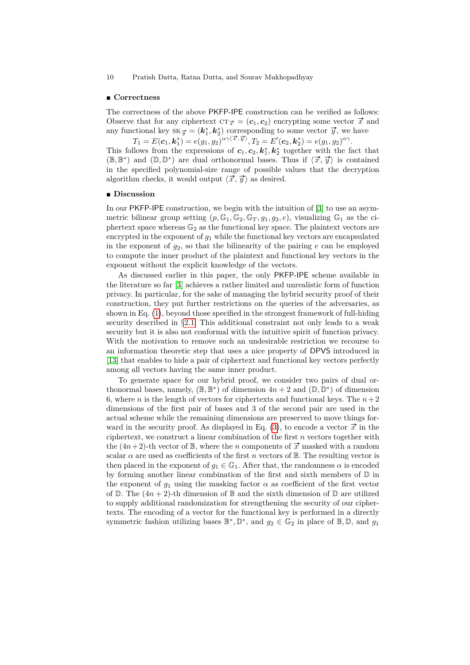#### ■ Correctness

The correctness of the above PKFP-IPE construction can be verified as follows: Observe that for any ciphertext  $CT_{\vec{x}} = (c_1, c_2)$  encrypting some vector  $\vec{x}$  and basely extend to any explicit case of  $x = (e_1, e_2)$  energy pulle vector  $x$  or any functional key  $s \kappa \vec{y} = (\vec{k}_1^*, \vec{k}_2^*)$  corresponding to some vector  $\vec{y}$ , we have

 $T_1 = E(c_1, k_1^*) = e(g_1, g_2)^{\alpha \gamma \langle \vec{x}, \vec{y} \rangle}, T_2 = E'(c_2, k_2^*) = e(g_1, g_2)^{\alpha \gamma}.$ 

This follows from the expressions of  $c_1, c_2, k_1^*, k_2^*$  together with the fact that ( $\mathbb{B}, \mathbb{B}^*$ ) and ( $\mathbb{D}, \mathbb{D}^*$ ) are dual orthonormal bases. Thus if  $\langle \vec{x}, \vec{y} \rangle$  is contained in the specified polynomial-size range of possible values that the decryption algorithm checks, it would output  $\langle \vec{x}, \vec{y} \rangle$  as desired.

#### **Discussion**

In our PKFP-IPE construction, we begin with the intuition of [\[3\]](#page-29-14) to use an asymmetric bilinear group setting  $(p, \mathbb{G}_1, \mathbb{G}_2, \mathbb{G}_T, g_1, g_2, e)$ , visualizing  $\mathbb{G}_1$  as the ciphertext space whereas  $\mathbb{G}_2$  as the functional key space. The plaintext vectors are encrypted in the exponent of *g*<sup>1</sup> while the functional key vectors are encapsulated in the exponent of  $g_2$ , so that the bilinearity of the pairing  $e$  can be employed to compute the inner product of the plaintext and functional key vectors in the exponent without the explicit knowledge of the vectors.

As discussed earlier in this paper, the only PKFP-IPE scheme available in the literature so far [\[3\]](#page-29-14) achieves a rather limited and unrealistic form of function privacy. In particular, for the sake of managing the hybrid security proof of their construction, they put further restrictions on the queries of the adversaries, as shown in Eq. [\(1\)](#page-3-1), beyond those specified in the strongest framework of full-hiding security described in §[2.1.](#page-4-0) This additional constraint not only leads to a weak security but it is also not conformal with the intuitive spirit of function privacy. With the motivation to remove such an undesirable restriction we recourse to an information theoretic step that uses a nice property of DPVS introduced in [\[13\]](#page-29-11) that enables to hide a pair of ciphertext and functional key vectors perfectly among all vectors having the same inner product.

To generate space for our hybrid proof, we consider two pairs of dual orthonormal bases, namely,  $(\mathbb{B}, \mathbb{B}^*)$  of dimension  $4n + 2$  and  $(\mathbb{D}, \mathbb{D}^*)$  of dimension 6, where *n* is the length of vectors for ciphertexts and functional keys. The  $n+2$ dimensions of the first pair of bases and 3 of the second pair are used in the actual scheme while the remaining dimensions are preserved to move things for-ward in the security proof. As displayed in Eq. [\(3\)](#page-8-0), to encode a vector  $\vec{x}$  in the ciphertext, we construct a linear combination of the first *n* vectors together with the  $(4n+2)$ -th vector of  $\mathbb{B}$ , where the *n* components of  $\vec{x}$  masked with a random scalar  $\alpha$  are used as coefficients of the first *n* vectors of  $\mathbb{B}$ . The resulting vector is then placed in the exponent of  $g_1 \in \mathbb{G}_1$ . After that, the randomness  $\alpha$  is encoded by forming another linear combination of the first and sixth members of D in the exponent of  $g_1$  using the masking factor  $\alpha$  as coefficient of the first vector of  $\mathbb{D}$ . The  $(4n + 2)$ -th dimension of  $\mathbb{B}$  and the sixth dimension of  $\mathbb{D}$  are utilized to supply additional randomization for strengthening the security of our ciphertexts. The encoding of a vector for the functional key is performed in a directly symmetric fashion utilizing bases  $\mathbb{B}^*, \mathbb{D}^*,$  and  $g_2 \in \mathbb{G}_2$  in place of  $\mathbb{B}, \mathbb{D},$  and  $g_1$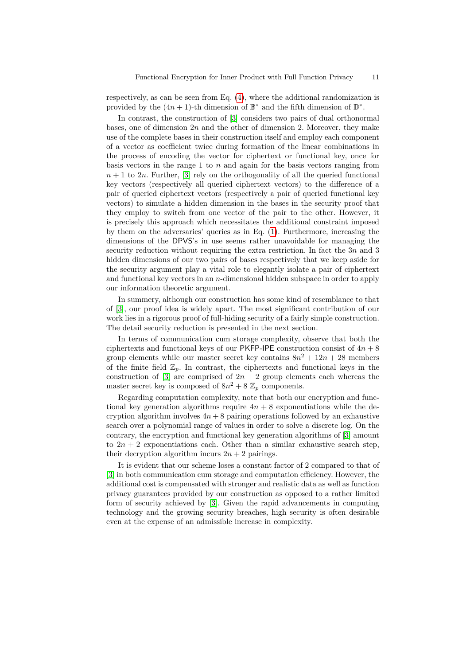respectively, as can be seen from Eq. [\(4\)](#page-8-1), where the additional randomization is provided by the  $(4n + 1)$ -th dimension of  $\mathbb{B}^*$  and the fifth dimension of  $\mathbb{D}^*$ .

In contrast, the construction of [\[3\]](#page-29-14) considers two pairs of dual orthonormal bases, one of dimension 2*n* and the other of dimension 2. Moreover, they make use of the complete bases in their construction itself and employ each component of a vector as coefficient twice during formation of the linear combinations in the process of encoding the vector for ciphertext or functional key, once for basis vectors in the range 1 to *n* and again for the basis vectors ranging from  $n+1$  to 2*n*. Further, [\[3\]](#page-29-14) rely on the orthogonality of all the queried functional key vectors (respectively all queried ciphertext vectors) to the difference of a pair of queried ciphertext vectors (respectively a pair of queried functional key vectors) to simulate a hidden dimension in the bases in the security proof that they employ to switch from one vector of the pair to the other. However, it is precisely this approach which necessitates the additional constraint imposed by them on the adversaries' queries as in Eq. [\(1\)](#page-3-1). Furthermore, increasing the dimensions of the DPVS's in use seems rather unavoidable for managing the security reduction without requiring the extra restriction. In fact the 3*n* and 3 hidden dimensions of our two pairs of bases respectively that we keep aside for the security argument play a vital role to elegantly isolate a pair of ciphertext and functional key vectors in an *n*-dimensional hidden subspace in order to apply our information theoretic argument.

In summery, although our construction has some kind of resemblance to that of [\[3\]](#page-29-14), our proof idea is widely apart. The most significant contribution of our work lies in a rigorous proof of full-hiding security of a fairly simple construction. The detail security reduction is presented in the next section.

In terms of communication cum storage complexity, observe that both the ciphertexts and functional keys of our PKFP-IPE construction consist of  $4n + 8$ group elements while our master secret key contains  $8n^2 + 12n + 28$  members of the finite field  $\mathbb{Z}_p$ . In contrast, the ciphertexts and functional keys in the construction of  $\begin{bmatrix} 3 \end{bmatrix}$  are comprised of  $2n + 2$  group elements each whereas the master secret key is composed of  $8n^2 + 8 \mathbb{Z}_p$  components.

Regarding computation complexity, note that both our encryption and functional key generation algorithms require  $4n + 8$  exponentiations while the decryption algorithm involves  $4n + 8$  pairing operations followed by an exhaustive search over a polynomial range of values in order to solve a discrete log. On the contrary, the encryption and functional key generation algorithms of [\[3\]](#page-29-14) amount to  $2n + 2$  exponentiations each. Other than a similar exhaustive search step, their decryption algorithm incurs  $2n + 2$  pairings.

It is evident that our scheme loses a constant factor of 2 compared to that of [\[3\]](#page-29-14) in both communication cum storage and computation efficiency. However, the additional cost is compensated with stronger and realistic data as well as function privacy guarantees provided by our construction as opposed to a rather limited form of security achieved by [\[3\]](#page-29-14). Given the rapid advancements in computing technology and the growing security breaches, high security is often desirable even at the expense of an admissible increase in complexity.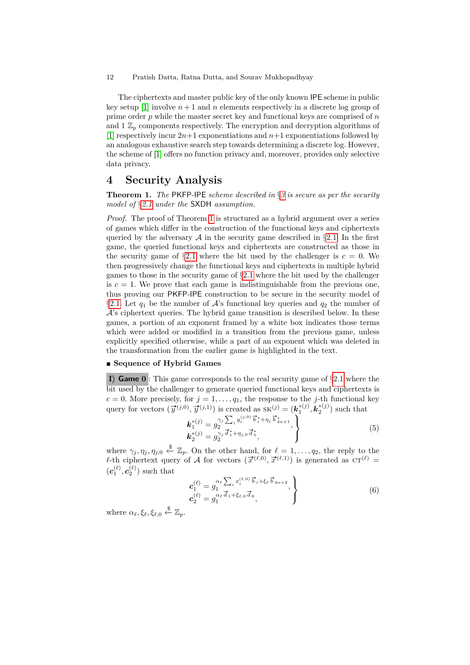The ciphertexts and master public key of the only known IPE scheme in public key setup [\[1\]](#page-29-13) involve  $n+1$  and  $n$  elements respectively in a discrete log group of prime order *p* while the master secret key and functional keys are comprised of *n* and  $1 \mathbb{Z}_p$  components respectively. The encryption and decryption algorithms of [\[1\]](#page-29-13) respectively incur  $2n+1$  exponentiations and  $n+1$  exponentiations followed by an analogous exhaustive search step towards determining a discrete log. However, the scheme of [\[1\]](#page-29-13) offers no function privacy and, moreover, provides only selective data privacy.

# **4 Security Analysis**

<span id="page-11-0"></span>**Theorem 1.** *The* PKFP-IPE *scheme described in* §*[3](#page-7-1) is secure as per the security model of* §*[2.1](#page-4-0) under the* SXDH *assumption.*

*Proof.* The proof of Theorem [1](#page-11-0) is structured as a hybrid argument over a series of games which differ in the construction of the functional keys and ciphertexts queried by the adversary  $\mathcal A$  in the security game described in §[2.1.](#page-4-0) In the first game, the queried functional keys and ciphertexts are constructed as those in the security game of  $\S 2.1$  $\S 2.1$  where the bit used by the challenger is  $c = 0$ . We then progressively change the functional keys and ciphertexts in multiple hybrid games to those in the security game of §[2.1](#page-4-0) where the bit used by the challenger is  $c = 1$ . We prove that each game is indistinguishable from the previous one, thus proving our PKFP-IPE construction to be secure in the security model of §[2.1.](#page-4-0) Let  $q_1$  be the number of A's functional key queries and  $q_2$  the number of  $\mathcal{A}$ 's ciphertext queries. The hybrid game transition is described below. In these games, a portion of an exponent framed by a white box indicates those terms which were added or modified in a transition from the previous game, unless explicitly specified otherwise, while a part of an exponent which was deleted in the transformation from the earlier game is highlighted in the text.

#### **Sequence of Hybrid Games**

**Ii Game 0** : This game corresponds to the real security game of §[2.1](#page-4-0) where the bit used by the challenger to generate queried functional keys and ciphertexts is  $c = 0$ . More precisely, for  $j = 1, \ldots, q_1$ , the response to the *j*-th functional key query for vectors  $(\vec{y}^{(j,0)}, \vec{y}^{(j,1)})$  is created as  $SK^{(j)} = (\mathbf{k}_1^{*(j)}, \mathbf{k}_2^{*(j)})$  such that

<span id="page-11-2"></span>
$$
\begin{pmatrix}\n\mathbf{k}_{1}^{*(j)} = g_{2}^{\gamma_{j}} \sum_{i} y_{i}^{(j,0)} \vec{b}_{i}^{*} + \eta_{j} \vec{b}_{4n+1}^{*}, \\
\mathbf{k}_{2}^{*(j)} = g_{2}^{\gamma_{j}} \vec{d}_{1}^{*} + \eta_{j,0} \vec{d}_{5}^{*},\n\end{pmatrix} (5)
$$

where  $\gamma_j, \eta_j, \eta_{j,0} \stackrel{\$}{\leftarrow} \mathbb{Z}_p$ . On the other hand, for  $\ell = 1, \ldots, q_2$ , the reply to the where  $\gamma_1, \gamma_2, \gamma_3, \ldots$   $\omega_p$ . On the other hand, for  $\ell = 1, \ldots, q_2$ , the reply to the *k*-h ciphertext query of *A* for vectors  $(\vec{x}^{(\ell,0)}, \vec{x}^{(\ell,1)})$  is generated as  $\text{CT}^{(\ell)}$  $(c_1^{(\ell)}, c_2^{(\ell)})$  such that

<span id="page-11-1"></span>
$$
\begin{aligned}\n\mathbf{c}_{1}^{(\ell)} &= g_{1}^{\alpha_{\ell}} \sum_{i} x_{i}^{(\ell,0)} \vec{b}_{i} + \xi_{\ell} \vec{b}_{4n+2}, \\
\mathbf{c}_{2}^{(\ell)} &= g_{1}^{\alpha_{\ell}} \vec{d}_{1} + \xi_{\ell,0} \vec{d}_{6},\n\end{aligned} \tag{6}
$$

where  $\alpha_{\ell}, \xi_{\ell}, \xi_{\ell,0} \overset{\$}{\leftarrow} \mathbb{Z}_p$ .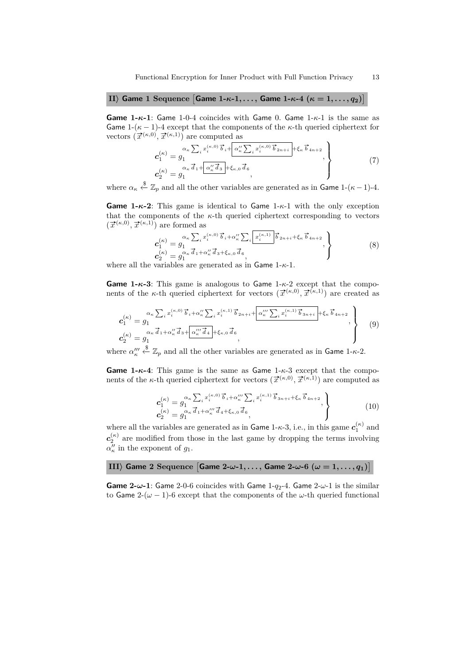$\textbf{H}\rangle$  Game  $1$  Sequence  $\begin{bmatrix}$  Game  $1$ - $\kappa$ - $1,\ldots,$  Game  $1$ - $\kappa$ - $4$   $(\kappa=1,\ldots,q_2)\end{bmatrix}$ 

**Game**  $1-\kappa-1$ : Game 1-0-4 coincides with Game 0. Game  $1-\kappa-1$  is the same as Game  $1-(\kappa-1)-4$  except that the components of the  $\kappa$ -th queried ciphertext for vectors  $(\vec{x}^{(\kappa,0)}, \vec{x}^{(\kappa,1)})$  are computed as

<span id="page-12-1"></span>
$$
\mathbf{c}_{1}^{(\kappa)} = g_{1}^{\alpha_{\kappa} \sum_{i} x_{i}^{(\kappa,0)} \vec{b}_{i} + \left[ \alpha_{\kappa}^{\prime\prime} \sum_{i} x_{i}^{(\kappa,0)} \vec{b}_{2n+i} \right] + \xi_{\kappa} \vec{b}_{4n+2}}_{\mathbf{c}_{2}^{(\kappa)} = g_{1}^{\alpha_{\kappa} \vec{d}_{1} + \left[ \alpha_{\kappa}^{\prime\prime} \vec{d}_{3} \right] + \xi_{\kappa,0} \vec{d}_{6}}, \qquad (7)
$$

where  $\alpha_{\kappa} \stackrel{\$}{\leftarrow} \mathbb{Z}_p$  and all the other variables are generated as in **Game** 1-( $\kappa - 1$ )-4.

**Game**  $1-k-2$ : This game is identical to Game  $1-k-1$  with the only exception that the components of the  $\kappa$ -th queried ciphertext corresponding to vectors  $(\vec{x}^{(\kappa,0)}, \vec{x}^{(\kappa,1)})$  are formed as

$$
c_1^{(\kappa)} = g_1^{\alpha_{\kappa} \sum_i x_i^{(\kappa,0)} \vec{b}_i + \alpha_{\kappa}^{\prime\prime} \sum_i \boxed{x_i^{(\kappa,1)}} \vec{b}_{2n+i} + \xi_{\kappa} \vec{b}_{4n+2}}_{\kappa} c_2^{(\kappa)} = g_1^{\alpha_{\kappa} \vec{d}_1 + \alpha_{\kappa}^{\prime\prime} \vec{d}_3 + \xi_{\kappa,0} \vec{d}_6},
$$
\n(8)

where all the variables are generated as in **Game**  $1-\kappa-1$ .

**Game** 1- $\kappa$ -3: This game is analogous to Game 1- $\kappa$ -2 except that the components of the *κ*-th queried ciphertext for vectors  $(\vec{x}^{(\kappa,0)}, \vec{x}^{(\kappa,1)})$  are created as

$$
c_{1}^{(\kappa)} = g_{1}^{\alpha_{\kappa} \sum_{i} x_{i}^{(\kappa,0)} \vec{b}_{i} + \alpha_{\kappa}^{\prime\prime} \sum_{i} x_{i}^{(\kappa,1)} \vec{b}_{2n+i} + \frac{\alpha_{\kappa}^{\prime\prime\prime} \sum_{i} x_{i}^{(\kappa,1)} \vec{b}_{3n+i}}{c_{2}^{(\kappa)} = g_{1}^{\alpha_{\kappa} \vec{d}_{1} + \alpha_{\kappa}^{\prime\prime} \vec{d}_{3} + \frac{\alpha_{\kappa}^{\prime\prime\prime} \vec{d}_{4}}{\alpha_{\kappa}^{\prime\prime} \vec{d}_{4}} + \xi_{\kappa,0} \vec{d}_{6}},
$$
\n(9)

where  $\alpha_{\kappa}^{\prime\prime\prime}$ \$ ←− Z*<sup>p</sup>* and all the other variables are generated as in Game 1-*κ*-2.

<span id="page-12-0"></span>**Game 1-***κ***-4**: This game is the same as Game 1-*κ*-3 except that the components of the *κ*-th queried ciphertext for vectors  $(\vec{x}^{(\kappa,0)}, \vec{x}^{(\kappa,1)})$  are computed as

$$
c_{1}^{(\kappa)} = g_{1}^{\alpha_{\kappa}} \sum_{i} x_{i}^{(\kappa,0)} \vec{b}_{i} + \alpha_{\kappa}''' \sum_{i} x_{i}^{(\kappa,1)} \vec{b}_{3n+i} + \xi_{\kappa} \vec{b}_{4n+2},
$$
  
\n
$$
c_{2}^{(\kappa)} = g_{1}^{\alpha_{\kappa}} \vec{d}_{1} + \alpha_{\kappa}''' \vec{d}_{4} + \xi_{\kappa,0} \vec{d}_{6},
$$
\n(10)

where all the variables are generated as in Game 1- $\kappa$ -3, i.e., in this game  $\boldsymbol{c}^{(\kappa)}_1$  and  $c_2^{(\kappa)}$  are modified from those in the last game by dropping the terms involving  $\alpha''_{\kappa}$  in the exponent of  $g_1$ .

 $\textbf{III}\rangle$  Game 2 Sequence  $\big[\textbf{Game 2-}\omega\textbf{-1},\dots,\textbf{Game 2-}\omega\textbf{-6}~(\omega=1,\dots,q_1)\big]$ 

**Game**  $2-\omega-1$ : Game 2-0-6 coincides with Game  $1-q_2-4$ . Game  $2-\omega-1$  is the similar to Game 2- $(\omega - 1)$ -6 except that the components of the  $\omega$ -th queried functional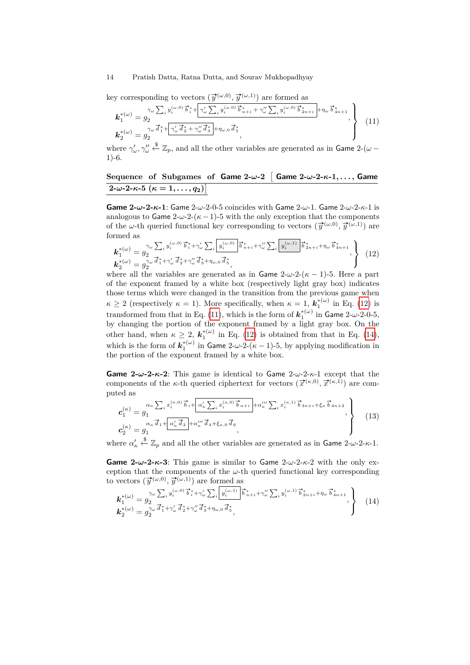key corresponding to vectors  $(\vec{y}^{(\omega,0)}, \vec{y}^{(\omega,1)})$  are formed as

<span id="page-13-1"></span>
$$
\mathbf{k}_{1}^{*(\omega)} = g_{2}^{\gamma_{\omega} \sum_{i} y_{i}^{(\omega,0)} \vec{b}_{i}^{*} + \sqrt{\gamma'_{\omega} \sum_{i} y_{i}^{(\omega,0)} \vec{b}_{n+i}^{*} + \gamma''_{\omega} \sum_{i} y_{i}^{(\omega,0)} \vec{b}_{2n+i}^{*}} + \eta_{\omega} \vec{b}_{4n+1}^{*},
$$
\n
$$
\mathbf{k}_{2}^{*(\omega)} = g_{2}^{\gamma_{\omega} \vec{d}_{1}^{*} + \sqrt{\gamma'_{\omega} \vec{d}_{2}^{*} + \gamma''_{\omega} \vec{d}_{3}^{*}} + \eta_{\omega,0} \vec{d}_{5}^{*}},
$$
\n(11)

where  $\gamma'_{\omega}, \gamma''_{\omega}$  $\stackrel{\$}{\leftarrow} \mathbb{Z}_p$ , and all the other variables are generated as in Game 2-(*ω* − 1)-6.

Sequence of Subgames of **Game**  $2-\omega-2$ **Game 2-***ω***-2-***κ***-1***, . . . ,* **Game**  $\left[2\text{-}\omega\text{-}2\text{-}\kappa\text{-}5\,\left(\kappa=1,\ldots,q_2\right)\right]$ 

**Game 2-***ω***-2-***κ***-1**: Game 2-*ω*-2-0-5 coincides with Game 2-*ω*-1. Game 2-*ω*-2-*κ*-1 is analogous to Game  $2-\omega-2-(\kappa-1)-5$  with the only exception that the components of the *ω*-th queried functional key corresponding to vectors  $(\vec{y}^{(\omega,0)}, \vec{y}^{(\omega,1)})$  are formed as

<span id="page-13-0"></span>
$$
\mathbf{k}_{1}^{*(\omega)} = g_{2}^{\gamma_{\omega} \sum_{i} y_{i}^{(\omega,0)}} \vec{b}_{i}^{*} + \gamma_{\omega}^{\prime} \sum_{i} \boxed{y_{i}^{(\omega,0)}} \vec{b}_{n+i}^{*} + \gamma_{\omega}^{\prime\prime} \sum_{i} \boxed{y_{i}^{(\omega,1)}} \vec{b}_{2n+i}^{*} + \eta_{\omega} \vec{b}_{4n+1}^{*},
$$
\n
$$
\mathbf{k}_{2}^{*(\omega)} = g_{2}^{\gamma_{\omega}} \vec{d}_{1}^{*} + \gamma_{\omega}^{\prime} \vec{d}_{2}^{*} + \gamma_{\omega}^{\prime\prime} \vec{d}_{3}^{*} + \eta_{\omega,0} \vec{d}_{5}^{*},
$$
\n(12)

 $k_2^{*(\omega)} = g_2^{\gamma_{\omega} a_1 + \gamma_{\omega} a_2 + \gamma_{\omega} a_3 + \eta_{\omega,0} a_5},$ <br>where all the variables are generated as in Game 2- $\omega$ -2-( $\kappa - 1$ )-5. Here a part of the exponent framed by a white box (respectively light gray box) indicates those terms which were changed in the transition from the previous game when  $\kappa \geq 2$  (respectively  $\kappa = 1$ ). More specifically, when  $\kappa = 1$ ,  $k_1^{*(\omega)}$  in Eq. [\(12\)](#page-13-0) is transformed from that in Eq. [\(11\)](#page-13-1), which is the form of  $k_1^{*(\omega)}$  in Game 2-*ω*-2-0-5, by changing the portion of the exponent framed by a light gray box. On the other hand, when  $\kappa \geq 2$ ,  $k_1^{*(\omega)}$  in Eq. [\(12\)](#page-13-0) is obtained from that in Eq. [\(14\)](#page-13-2), which is the form of  $k_1^{*(\omega)}$  in Game 2-*ω*-2-(*κ* − 1)-5, by applying modification in the portion of the exponent framed by a white box.

**Game** 2- $\omega$ -2- $\kappa$ -2: This game is identical to Game 2- $\omega$ -2- $\kappa$ -1 except that the components of the *κ*-th queried ciphertext for vectors  $(\vec{x}^{(\kappa,0)}, \vec{x}^{(\kappa,1)})$  are computed as

$$
\mathbf{c}_{1}^{(\kappa)} = g_{1}^{\alpha_{\kappa} \sum_{i} x_{i}^{(\kappa,0)} \vec{b}_{i} + \left[ \alpha_{\kappa}' \sum_{i} x_{i}^{(\kappa,0)} \vec{b}_{n+i} \right] + \alpha_{\kappa}''' \sum_{i} x_{i}^{(\kappa,1)} \vec{b}_{3n+i} + \xi_{\kappa} \vec{b}_{4n+2}}{\mathbf{c}_{2}^{(\kappa)} = g_{1}^{\alpha_{\kappa} \vec{d}_{1} + \left[ \alpha_{\kappa}' \vec{d}_{2} \right] + \alpha_{\kappa}''' \vec{d}_{4} + \xi_{\kappa,0} \vec{d}_{6}}},
$$
\n(13)

where  $\alpha'_{\kappa}$ \$ ←− Z*<sup>p</sup>* and all the other variables are generated as in Game 2-*ω*-2-*κ*-1.

**Game** 2- $\omega$ -2- $\kappa$ -3: This game is similar to Game 2- $\omega$ -2- $\kappa$ -2 with the only exception that the components of the  $\omega$ -th queried functional key corresponding to vectors  $(\vec{y}^{(\omega,0)}, \vec{y}^{(\omega,1)})$  are formed as

<span id="page-13-2"></span>
$$
\mathbf{k}_{1}^{*(\omega)} = g_{2}^{\gamma_{\omega} \sum_{i} y_{i}^{(\omega,0)} \vec{b}_{i}^{*} + \gamma'_{\omega} \sum_{i} \left[ y_{i}^{(\omega,1)} \right] \vec{b}_{n+i}^{*} + \gamma''_{\omega} \sum_{i} y_{i}^{(\omega,1)} \vec{b}_{2n+i}^{*} + \eta_{\omega} \vec{b}_{4n+1}^{*},
$$
\n
$$
\mathbf{k}_{2}^{*(\omega)} = g_{2}^{\gamma_{\omega} \vec{d}_{1}^{*} + \gamma'_{\omega} \vec{d}_{2}^{*} + \gamma''_{\omega} \vec{d}_{3}^{*} + \eta_{\omega,0} \vec{d}_{5}^{*},
$$
\n(14)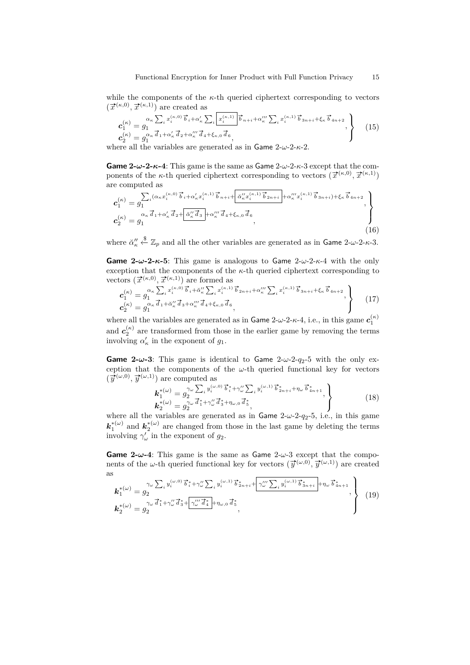while the components of the  $\kappa$ -th queried ciphertext corresponding to vectors  $(\vec{x}^{(\kappa,0)}, \vec{x}^{(\kappa,1)})$  are created as

$$
c_{1}^{(\kappa)} = g_{1}^{\alpha_{\kappa} \sum_{i} x_{i}^{(\kappa,0)} \vec{b}_{i} + \alpha_{\kappa}' \sum_{i} \boxed{x_{i}^{(\kappa,1)}} \vec{b}_{n+i} + \alpha_{\kappa}''' \sum_{i} x_{i}^{(\kappa,1)} \vec{b}_{3n+i} + \xi_{\kappa} \vec{b}_{4n+2},
$$
\n
$$
c_{2}^{(\kappa)} = g_{1}^{\alpha_{\kappa} \vec{d}_{1} + \alpha_{\kappa}' \vec{d}_{2} + \alpha_{\kappa}''' \vec{d}_{4} + \xi_{\kappa,0} \vec{d}_{6}},
$$
\n(15)

where all the variables are generated as in Game  $2-\omega-2-\kappa-2$ .

**Game**  $2-\omega-2-\kappa-4$ : This game is the same as Game  $2-\omega-2-\kappa-3$  except that the com**b** ponents of the *κ*-th queried ciphertext corresponding to vectors  $(\vec{x}^{(\kappa,0)}, \vec{x}^{(\kappa,1)})$ are computed as

$$
c_{1}^{(\kappa)} = g_{1}^{\sum_{i} (\alpha_{\kappa} x_{i}^{(\kappa,0)} \vec{b}_{i} + \alpha'_{\kappa} x_{i}^{(\kappa,1)} \vec{b}_{n+i} + \frac{\alpha''_{\kappa} x_{i}^{(\kappa,1)} \vec{b}_{2n+i}}{\alpha''_{\kappa} x_{i}^{(\kappa,1)} \vec{b}_{3n+i}} + \alpha''_{\kappa} x_{i}^{(\kappa,1)} \vec{b}_{3n+i} + \xi_{\kappa} \vec{b}_{4n+2},
$$
\n
$$
c_{2}^{(\kappa)} = g_{1}^{\alpha_{\kappa} \vec{d}_{1} + \alpha'_{\kappa} \vec{d}_{2} + \frac{\alpha''_{\kappa} \vec{d}_{3}}{\alpha_{\kappa} \vec{d}_{3}} + \alpha''_{\kappa} \vec{d}_{4} + \xi_{\kappa,0} \vec{d}_{6},
$$
\n(16)

where  $\check{\alpha}''_{\kappa}$ \$ ←− Z*<sup>p</sup>* and all the other variables are generated as in Game 2-*ω*-2-*κ*-3.

**Game** 2- $\omega$ -2- $\kappa$ -5: This game is analogous to Game 2- $\omega$ -2- $\kappa$ -4 with the only exception that the components of the  $\kappa$ -th queried ciphertext corresponding to vectors  $(\vec{x}^{(\kappa,0)}, \vec{x}^{(\kappa,1)})$  are formed as

<span id="page-14-0"></span>
$$
c_{1}^{(\kappa)} = g_{1}^{\alpha_{\kappa} \sum_{i} x_{i}^{(\kappa,0)} \vec{b}_{i} + \breve{\alpha}_{\kappa}^{\prime\prime} \sum_{i} x_{i}^{(\kappa,1)} \vec{b}_{2n+i} + \alpha_{\kappa}^{\prime\prime\prime} \sum_{i} x_{i}^{(\kappa,1)} \vec{b}_{3n+i} + \xi_{\kappa} \vec{b}_{4n+2},
$$
\n
$$
c_{2}^{(\kappa)} = g_{1}^{\alpha_{\kappa} \vec{d}_{1} + \breve{\alpha}_{\kappa}^{\prime\prime} \vec{d}_{3} + \alpha_{\kappa}^{\prime\prime\prime} \vec{d}_{4} + \xi_{\kappa,0} \vec{d}_{6},
$$
\n(17)

where all the variables are generated as in Game 2- $\omega$ -2- $\kappa$ -4, i.e., in this game  $c_1^{(\kappa)}$ and  $c_2^{(\kappa)}$  are transformed from those in the earlier game by removing the terms involving  $\alpha'_{\kappa}$  in the exponent of  $g_1$ .

**Game** 2- $\omega$ -3: This game is identical to Game 2- $\omega$ -2- $q_2$ -5 with the only exception that the components of the  $\omega$ -th queried functional key for vectors  $(\vec{y}^{(\omega,0)}, \vec{y}^{(\omega,1)})$  are computed as

$$
\begin{aligned}\n\mathbf{k}_{1}^{*(\omega)} &= g_{2}^{\gamma_{\omega}} \sum_{i} y_{i}^{(\omega,0)} \vec{b}_{i}^{*} + \gamma_{\omega}^{\prime\prime} \sum_{i} y_{i}^{(\omega,1)} \vec{b}_{2n+i}^{*} + \eta_{\omega} \vec{b}_{4n+1}^{*}, \\
\mathbf{k}_{2}^{*(\omega)} &= g_{2}^{\gamma_{\omega}} \vec{d}_{1}^{*} + \gamma_{\omega}^{\prime\prime} \vec{d}_{3}^{*} + \eta_{\omega,0} \vec{d}_{5}^{*},\n\end{aligned} \tag{18}
$$

where all the variables are generated as in Game 2-*ω*-2-*q*2-5, i.e., in this game  $k_1^{*(\omega)}$  and  $k_2^{*(\omega)}$  are changed from those in the last game by deleting the terms involving  $\gamma'_{\omega}$  in the exponent of  $g_2$ .

**Game** 2- $\omega$ -4: This game is the same as Game 2- $\omega$ -3 except that the components of the *ω*-th queried functional key for vectors  $(\vec{y}^{(\omega,0)}, \vec{y}^{(\omega,1)})$  are created as

$$
\mathbf{k}_{1}^{*(\omega)} = g_{2}^{\gamma_{\omega} \sum_{i} y_{i}^{(\omega,0)} \vec{b}_{i}^{*} + \gamma_{\omega}^{\prime\prime} \sum_{i} y_{i}^{(\omega,1)} \vec{b}_{2n+i}^{*} + \boxed{\gamma_{\omega}^{\prime\prime} \sum_{i} y_{i}^{(\omega,1)} \vec{b}_{3n+i}^{*}} + \eta_{\omega} \vec{b}_{4n+1}^{*},
$$
\n
$$
\mathbf{k}_{2}^{*(\omega)} = g_{2}^{\gamma_{\omega} \vec{d}_{1}^{*} + \gamma_{\omega}^{\prime\prime} \vec{d}_{3}^{*} + \boxed{\gamma_{\omega}^{\prime\prime} \vec{d}_{4}^{*}} + \eta_{\omega,0} \vec{d}_{5}^{*}},
$$
\n(19)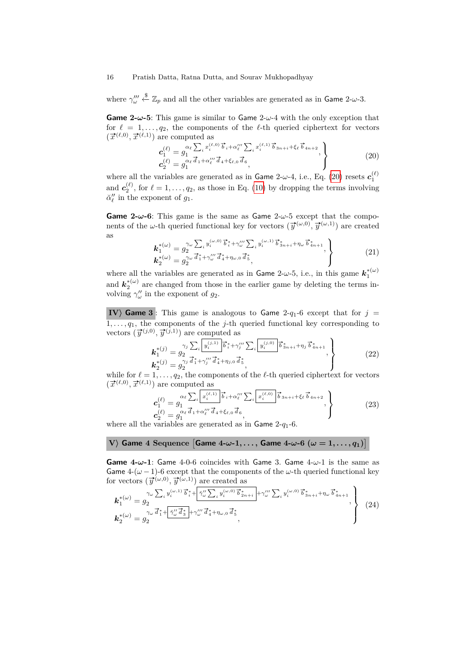where  $\gamma^{\prime\prime\prime}_{\omega}$  $\stackrel{\$}{\leftarrow} \mathbb{Z}_p$  and all the other variables are generated as in Game 2-*ω*-3.

**Game** 2- $\omega$ -5: This game is similar to Game 2- $\omega$ -4 with the only exception that for  $\ell = 1, \ldots, q_2$ , the components of the  $\ell$ -th queried ciphertext for vectors  $(\vec{x}^{(\ell,0)}, \vec{x}^{(\ell,1)})$  are computed as

<span id="page-15-0"></span>
$$
\mathbf{c}_{1}^{(\ell)} = g_{1}^{\alpha_{\ell} \sum_{i} x_{i}^{(\ell,0)} \vec{b}_{i} + \alpha_{\ell}^{\prime\prime} \sum_{i} x_{i}^{(\ell,1)} \vec{b}_{3n+i} + \xi_{\ell} \vec{b}_{4n+2}},
$$
\n
$$
\mathbf{c}_{2}^{(\ell)} = g_{1}^{\alpha_{\ell} \vec{d}_{1} + \alpha_{\ell}^{\prime\prime} \vec{d}_{4} + \xi_{\ell,0} \vec{d}_{6}},
$$
\n(20)

where all the variables are generated as in Game 2- $\omega$ -4, i.e., Eq. [\(20\)](#page-15-0) resets  $\boldsymbol{c}_1^{(\ell)}$ and  $c_2^{(\ell)}$ , for  $\ell = 1, \ldots, q_2$ , as those in Eq. [\(10\)](#page-12-0) by dropping the terms involving  $\check{\alpha}''_{\ell}$  in the exponent of  $g_1$ .

<span id="page-15-1"></span>**Game** 2- $\omega$ -6: This game is the same as Game 2- $\omega$ -5 except that the components of the *ω*-th queried functional key for vectors  $(\vec{y}^{(\omega,0)}, \vec{y}^{(\omega,1)})$  are created as

$$
\begin{aligned}\n\boldsymbol{k}_{1}^{*(\omega)} &= g_{2}^{\gamma_{\omega}} \sum_{i} y_{i}^{(\omega,0)} \vec{b}_{i}^{*} + \gamma_{\omega}^{\prime\prime} \sum_{i} y_{i}^{(\omega,1)} \vec{b}_{3n+i}^{*} + \eta_{\omega} \vec{b}_{4n+1}^{*}, \\
\boldsymbol{k}_{2}^{*(\omega)} &= g_{2}^{\gamma_{\omega}} \vec{d}_{1}^{*} + \gamma_{\omega}^{\prime\prime} \vec{d}_{4}^{*} + \eta_{\omega,0} \vec{d}_{5}^{*},\n\end{aligned} \tag{21}
$$

where all the variables are generated as in **Game**  $2-\omega$ -5, i.e., in this game  $k_1^{*(\omega)}$ and  $k_2^{*(\omega)}$  are changed from those in the earlier game by deleting the terms involving  $\gamma''_{\omega}$  in the exponent of  $g_2$ .

**IV) Game 3** : This game is analogous to Game 2- $q_1$ -6 except that for  $j =$  $1, \ldots, q_1$ , the components of the *j*-th queried functional key corresponding to vectors  $(\vec{y}^{(j,0)}, \vec{y}^{(j,1)})$  are computed as

<span id="page-15-2"></span>
$$
\mathbf{k}_{1}^{*(j)} = g_{2}^{\gamma_{j}} \sum_{i} \overline{\mathbf{u}_{i}^{(j,1)}} \overrightarrow{b}_{i}^{*} + \gamma_{j}^{\prime\prime} \sum_{i} \overline{\mathbf{u}_{i}^{(j,0)}} \overrightarrow{b}_{3n+i}^{*} + \eta_{j} \overrightarrow{b}_{4n+1}^{*},
$$
\n
$$
\mathbf{k}_{2}^{*(j)} = g_{2}^{\gamma_{j}} \overrightarrow{d}_{1}^{*} + \gamma_{j}^{\prime\prime\prime} \overrightarrow{d}_{4}^{*} + \eta_{j,0} \overrightarrow{d}_{5}^{*},
$$
\n(22)

while for  $\ell = 1, \ldots, q_2$ , the components of the  $\ell$ -th queried ciphertext for vectors  $(\vec{x}^{(\ell,0)}, \vec{x}^{(\ell,1)})$  are computed as

<span id="page-15-3"></span>
$$
c_1^{(\ell)} = g_1 \sum_i \overbrace{a_i^{(\ell,1)}}^{\alpha_\ell} \overline{b}_i + \alpha_{\ell}''' \sum_i \overbrace{a_i^{(\ell,0)}}^{\alpha_\ell,(\ell,0)} \overline{b}_{3n+i} + \xi_\ell \overline{b}_{4n+2},
$$
  
\n
$$
c_2^{(\ell)} = g_1^{\alpha_\ell} \overline{d}_1 + \alpha_{\ell}''' \overline{d}_4 + \xi_{\ell,0} \overline{d}_6,
$$
\n(23)

where all the variables are generated as in **Game** 2- $q_1$ -6.

V) Game 4 Sequence [Game 4-
$$
\omega
$$
-1,..., Game 4- $\omega$ -6 ( $\omega = 1,...,q_1$ )]

**Game**  $4-\omega$ -1: Game  $4-0-6$  coincides with Game 3. Game  $4-\omega$ -1 is the same as Game  $4-(\omega-1)$ -6 except that the components of the  $\omega$ -th queried functional key for vectors  $(\vec{y}^{(\omega,0)}, \vec{y}^{(\omega,1)})$  are created as

$$
\mathbf{k}_{1}^{*(\omega)} = g_{2}^{\gamma_{\omega} \sum_{i} y_{i}^{(\omega,1)}} \vec{b}_{i}^{*} + \frac{\gamma_{\omega}^{\prime\prime} \sum_{i} y_{i}^{(\omega,0)} \vec{b}_{2n+i}^{*}}{\gamma_{\omega}^{\prime\prime} \sum_{i} y_{i}^{(\omega,0)} \vec{b}_{3n+i}^{*} + \eta_{\omega} \vec{b}_{4n+1}^{*}},
$$
\n
$$
\mathbf{k}_{2}^{*(\omega)} = g_{2}^{\gamma_{\omega} \vec{d}_{1}^{*} + \left[ \frac{\gamma_{\omega}^{\prime\prime} \vec{d}_{3}^{*}}{\gamma_{\omega}^{\prime\prime} \vec{d}_{4}^{*} + \eta_{\omega,0} \vec{d}_{5}^{*}}, \right]}\n\tag{24}
$$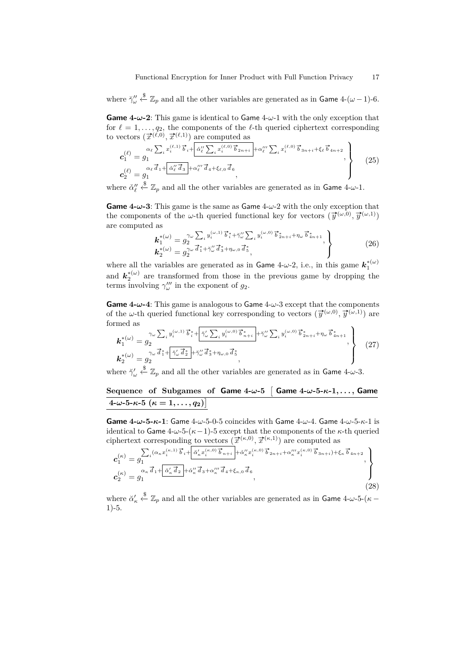where  $\breve{\gamma}''_{\omega}$  $\stackrel{\$}{\leftarrow} \mathbb{Z}_p$  and all the other variables are generated as in Game 4-(*ω* − 1)-6.

**Game** 4- $\omega$ -2: This game is identical to Game 4- $\omega$ -1 with the only exception that for  $\ell = 1, \ldots, q_2$ , the components of the  $\ell$ -th queried ciphertext corresponding to vectors  $(\vec{x}^{(\ell,0)}, \vec{x}^{(\ell,1)})$  are computed as

$$
\mathbf{c}_{1}^{(\ell)} = g_{1} \frac{\alpha_{\ell} \sum_{i} x_{i}^{(\ell,1)} \vec{b}_{i} + \left[ \check{\alpha}_{\ell}^{\prime \prime} \sum_{i} x_{i}^{(\ell,0)} \vec{b}_{2n+i} \right] + \alpha_{\ell}^{\prime \prime \prime} \sum_{i} x_{i}^{(\ell,0)} \vec{b}_{3n+i} + \xi_{\ell} \vec{b}_{4n+2}}{\mathbf{c}_{2}^{(\ell)} = g_{1} \cdot \mathbf{a}_{\ell} \cdot \vec{d}_{1} + \left[ \check{\alpha}_{\ell}^{\prime \prime} \vec{d}_{3} \right] + \alpha_{\ell}^{\prime \prime \prime} \vec{d}_{4} + \xi_{\ell,0} \cdot \vec{d}_{6}},
$$
\n(25)

where  $\check{\alpha}''_{\ell}$  $\stackrel{\$}{\leftarrow} \mathbb{Z}_p$  and all the other variables are generated as in Game 4-*ω*-1.

**Game** 4- $\omega$ -3: This game is the same as Game 4- $\omega$ -2 with the only exception that **the components of the** *ω***-th queried functional key for vectors**  $(\vec{y}^{(\omega,0)}, \vec{y}^{(\omega,1)})$ are computed as

$$
\begin{aligned}\n\boldsymbol{k}_{1}^{*(\omega)} &= g_{2}^{\gamma_{\omega}} \sum_{i} y_{i}^{(\omega,1)} \vec{b}_{i}^{*} + \tilde{\gamma}_{\omega}^{\prime \prime} \sum_{i} y_{i}^{(\omega,0)} \vec{b}_{2n+i}^{*} + \eta_{\omega} \vec{b}_{4n+1}^{*}, \\
\boldsymbol{k}_{2}^{*(\omega)} &= g_{2}^{\gamma_{\omega}} \vec{d}_{1}^{*} + \tilde{\gamma}_{\omega}^{\prime \prime} \vec{d}_{3}^{*} + \eta_{\omega,0} \vec{d}_{5}^{*},\n\end{aligned} \tag{26}
$$

where all the variables are generated as in **Game** 4-*ω*-2, i.e., in this game  $k_1^{*(\omega)}$ and  $k_2^{*(\omega)}$  are transformed from those in the previous game by dropping the terms involving  $\gamma''_{\omega}$  in the exponent of  $g_2$ .

**Game** 4- $\omega$ -4: This game is analogous to Game 4- $\omega$ -3 except that the components of the *ω*-th queried functional key corresponding to vectors  $(\vec{y}^{(\omega,0)}, \vec{y}^{(\omega,1)})$  are formed as

<span id="page-16-0"></span>
$$
\mathbf{k}_{1}^{*(\omega)} = g_{2}^{\omega \sum_{i} y_{i}^{(\omega,1)} \vec{b}_{i}^{*} + \left[ \widetilde{\gamma}_{\omega}^{\prime} \sum_{i} y_{i}^{(\omega,0)} \vec{b}_{n+i}^{*} + \widetilde{\gamma}_{\omega}^{\prime \prime} \sum_{i} y_{i}^{(\omega,0)} \vec{b}_{2n+i}^{*} + \eta_{\omega} \vec{b}_{4n+1}^{*}} \right]}_{\mathbf{k}_{2}^{*(\omega)}} ,
$$
\n
$$
\mathbf{k}_{2}^{*(\omega)} = g_{2}^{\omega \omega \vec{d}_{1}^{*} + \left[ \widetilde{\gamma}_{\omega}^{\prime} \vec{d}_{2}^{*} \right] + \widetilde{\gamma}_{\omega}^{\prime \prime} \vec{d}_{3}^{*} + \eta_{\omega,0} \vec{d}_{5}^{*}},
$$
\n
$$
(27)
$$

where  $\breve{\gamma}'_{\omega}$ \$ ←− Z*<sup>p</sup>* and all the other variables are generated as in Game 4-*ω*-3.

# **Sequence of Subgames of Game 4-***ω***-5** - **Game 4-***ω***-5-***κ***-1***, . . . ,* **Game**  $\left[4\text{-}\omega\text{-}5\text{-}\kappa\text{-}5\,\left(\kappa=1,\ldots,q_2\right)\right]$

**Game 4-***ω***-5-***κ***-1**: Game 4-*ω*-5-0-5 coincides with Game 4-*ω*-4. Game 4-*ω*-5-*κ*-1 is identical to Game  $4-\omega-5-(\kappa-1)-5$  except that the components of the  $\kappa$ -th queried ciphertext corresponding to vectors  $(\vec{x}^{(\kappa,0)}, \vec{x}^{(\kappa,1)})$  are computed as

$$
\mathbf{c}_{1}^{(\kappa)} = g_{1}^{\sum_{i} (\alpha_{\kappa} x_{i}^{(\kappa,1)} \vec{b}_{i} + \left[ \underbrace{\breve{\alpha}_{\kappa}' x_{i}^{(\kappa,0)} \vec{b}_{n+i}}_{\mathbf{A}_{\kappa}^{(\kappa)} \vec{d}_{i} + \alpha_{\kappa}'' x_{i}^{(\kappa,0)} \vec{b}_{2n+i} + \alpha_{\kappa}''' x_{i}^{(\kappa,0)} \vec{b}_{3n+i} + \xi_{\kappa} \vec{b}_{4n+2}},
$$
\n
$$
\mathbf{c}_{2}^{(\kappa)} = g_{1}^{\alpha_{\kappa} \vec{d}_{1} + \left[ \underbrace{\breve{\alpha}_{\kappa}' \vec{d}_{2}}_{\mathbf{A}} + \breve{\alpha}_{\kappa}''' \vec{d}_{3} + \alpha_{\kappa}''' \vec{d}_{4} + \xi_{\kappa,0} \vec{d}_{6}},
$$
\n(28)

where  $\breve{\alpha}'_{\kappa}$ \$ ←− Z*<sup>p</sup>* and all the other variables are generated as in Game 4-*ω*-5-(*κ* − 1)-5.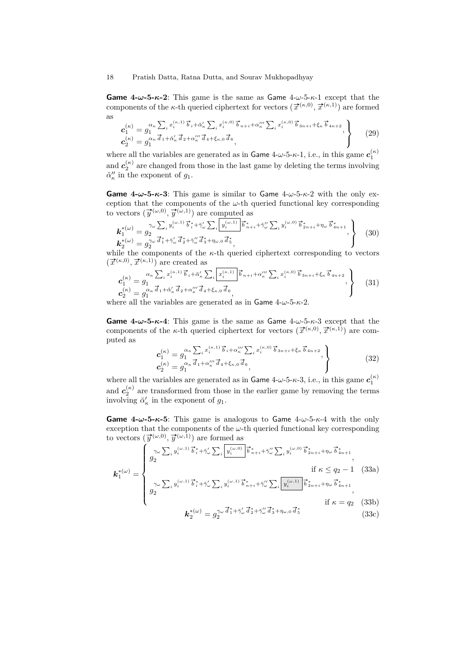**Game**  $4-\omega-5-\kappa-2$ : This game is the same as Game  $4-\omega-5-\kappa-1$  except that the components of the *κ*-th queried ciphertext for vectors  $(\vec{x}^{(\kappa,0)}, \vec{x}^{(\kappa,1)})$  are formed as

$$
\begin{aligned}\n\mathbf{c}_{1}^{(\kappa)} &= g_{1}^{\alpha_{\kappa}} \sum_{i} x_{i}^{(\kappa,1)} \vec{b}_{i} + \check{\alpha}_{\kappa}' \sum_{i} x_{i}^{(\kappa,0)} \vec{b}_{n+i} + \alpha_{\kappa}''' \sum_{i} x_{i}^{(\kappa,0)} \vec{b}_{3n+i} + \xi_{\kappa} \vec{b}_{4n+2}, \\
\mathbf{c}_{2}^{(\kappa)} &= g_{1}^{\alpha_{\kappa}} \vec{d}_{1} + \check{\alpha}_{\kappa}' \vec{d}_{2} + \alpha_{\kappa}''' \vec{d}_{4} + \xi_{\kappa,0} \vec{d}_{6},\n\end{aligned} \tag{29}
$$

where all the variables are generated as in Game 4- $\omega$ -5- $\kappa$ -1, i.e., in this game  $c_1^{(\kappa)}$ and  $c_2^{(\kappa)}$  are changed from those in the last game by deleting the terms involving  $\check{\alpha}''_{\kappa}$  in the exponent of  $g_1$ .

**Game 4-***ω***-5-***κ***-3**: This game is similar to Game 4-*ω*-5-*κ*-2 with the only exception that the components of the  $\omega$ -th queried functional key corresponding to vectors  $(\vec{y}^{(\omega,0)}, \vec{y}^{(\omega,1)})$  are computed as

$$
\mathbf{k}_{1}^{*(\omega)} = g_{2}^{\gamma_{\omega}} \sum_{i} y_{i}^{(\omega,1)} \vec{b}_{i}^{*} + \tilde{\gamma}_{\omega}^{\prime} \sum_{i} \boxed{y_{i}^{(\omega,1)}} \vec{b}_{n+i}^{*} + \tilde{\gamma}_{\omega}^{\prime\prime} \sum_{i} y_{i}^{(\omega,0)} \vec{b}_{2n+i}^{*} + \eta_{\omega} \vec{b}_{4n+1}^{*},
$$
\n
$$
\mathbf{k}_{2}^{*(\omega)} = g_{2}^{\gamma_{\omega}} \vec{d}_{1}^{*} + \tilde{\gamma}_{\omega}^{\prime} \vec{d}_{2}^{*} + \tilde{\gamma}_{\omega}^{\prime\prime} \vec{d}_{3}^{*} + \eta_{\omega,0} \vec{d}_{5}^{*},
$$
\nwhile the components of the  $\kappa$ -th queried ciphertext corresponding to vectors

 $(\vec{x}^{(\kappa,0)}, \vec{x}^{(\kappa,1)})$  are created as

$$
c_1^{(\kappa)} = g_1^{\alpha_{\kappa} \sum_i x_i^{(\kappa,1)} \vec{b}_i + \breve{\alpha}_{\kappa}' \sum_i \boxed{x_i^{(\kappa,1)}} \vec{b}_{n+i} + \alpha_{\kappa}''' \sum_i x_i^{(\kappa,0)} \vec{b}_{3n+i} + \xi_{\kappa} \vec{b}_{4n+2},
$$
\n
$$
c_2^{(\kappa)} = g_1^{\alpha_{\kappa} \vec{d}_1 + \breve{\alpha}_{\kappa}' \vec{d}_2 + \alpha_{\kappa}''' \vec{d}_4 + \xi_{\kappa,0} \vec{d}_6},
$$
\nwhere all the variables are generated as in Game 4- $\omega$ -5- $\kappa$ -2.

**Game**  $4-\omega$ -5- $\kappa$ -4: This game is the same as Game  $4-\omega$ -5- $\kappa$ -3 except that the components of the *κ*-th queried ciphertext for vectors  $(\vec{x}^{(\kappa,0)}, \vec{x}^{(\kappa,1)})$  are computed as

<span id="page-17-1"></span><span id="page-17-0"></span>
$$
\begin{aligned}\n\mathbf{c}_{1}^{(\kappa)} &= g_{1}^{\alpha_{\kappa}} \sum_{i} x_{i}^{(\kappa,1)} \vec{b}_{i} + \alpha_{\kappa}''' \sum_{i} x_{i}^{(\kappa,0)} \vec{b}_{3n+i} + \xi_{\kappa} \vec{b}_{4n+2}, \\
\mathbf{c}_{2}^{(\kappa)} &= g_{1}^{\alpha_{\kappa}} \vec{d}_{1} + \alpha_{\kappa}''' \vec{d}_{4} + \xi_{\kappa,0} \vec{d}_{6},\n\end{aligned} \tag{32}
$$

where all the variables are generated as in Game 4- $\omega$ -5- $\kappa$ -3, i.e., in this game  $c_1^{(\kappa)}$ and  $c_2^{(\kappa)}$  are transformed from those in the earlier game by removing the terms involving  $\breve{\alpha}'_{\kappa}$  in the exponent of  $g_1$ .

**Game**  $4-\omega-5-\kappa-5$ : This game is analogous to Game  $4-\omega-5-\kappa-4$  with the only exception that the components of the  $\omega$ -th queried functional key corresponding to vectors  $(\vec{y}^{(\omega,0)}, \vec{y}^{(\omega,1)})$  are formed as

$$
\mathbf{k}_{1}^{*(\omega)} = \begin{cases} \gamma_{\omega} \sum_{i} y_{i}^{(\omega,1)} \vec{b}_{i}^{*} + \gamma_{\omega}^{\prime} \sum_{i} \boxed{y_{i}^{(\omega,0)}} \vec{b}_{n+i}^{*} + \gamma_{\omega}^{\prime\prime} \sum_{i} y_{i}^{(\omega,0)} \vec{b}_{2n+i}^{*} + \eta_{\omega} \vec{b}_{4n+1}^{*}, \\ & \text{if } \kappa \le q_{2} - 1 \quad (33a) \\ \gamma_{\omega} \sum_{i} y_{i}^{(\omega,1)} \vec{b}_{i}^{*} + \gamma_{\omega}^{\prime} \sum_{i} y_{i}^{(\omega,1)} \vec{b}_{n+i}^{*} + \gamma_{\omega}^{\prime\prime} \sum_{i} \boxed{y_{i}^{(\omega,1)}} \vec{b}_{2n+i}^{*} + \eta_{\omega} \vec{b}_{4n+1}^{*}, \\ & \text{if } \kappa = q_{2} \quad (33b) \\ \mathbf{k}_{2}^{*(\omega)} = g_{2}^{\gamma_{\omega}} \vec{d}_{1}^{*} + \gamma_{\omega}^{\prime} \vec{d}_{2}^{*} + \gamma_{\omega}^{\prime\prime} \vec{d}_{3}^{*} + \eta_{\omega,0} \vec{d}_{5}^{*} \end{cases} \tag{33c}
$$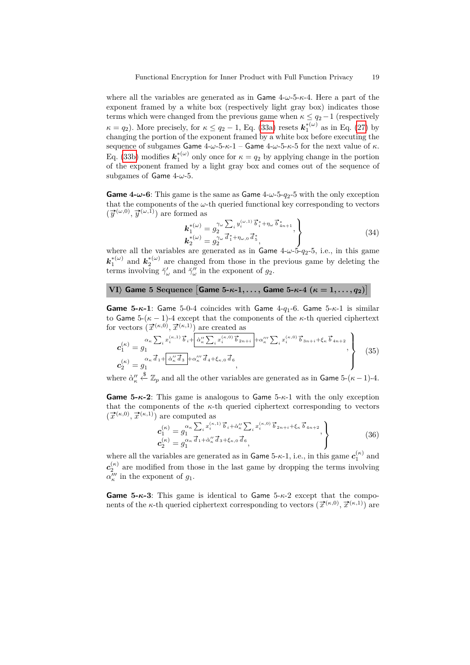where all the variables are generated as in Game 4-*ω*-5-*κ*-4. Here a part of the exponent framed by a white box (respectively light gray box) indicates those terms which were changed from the previous game when  $\kappa \leq q_2 - 1$  (respectively  $\kappa = q_2$ ). More precisely, for  $\kappa \le q_2 - 1$ , Eq. [\(33a\)](#page-17-0) resets  $\mathbf{k}_1^{*(\omega)}$  as in Eq. [\(27\)](#page-16-0) by changing the portion of the exponent framed by a white box before executing the sequence of subgames Game 4-*ω*-5-*κ*-1 – Game 4-*ω*-5-*κ*-5 for the next value of *κ*. Eq. [\(33b\)](#page-17-1) modifies  $k_1^{*(\omega)}$  only once for  $\kappa = q_2$  by applying change in the portion of the exponent framed by a light gray box and comes out of the sequence of subgames of Game 4-*ω*-5.

**Game** 4- $\omega$ -6: This game is the same as Game 4- $\omega$ -5- $q_2$ -5 with the only exception that the components of the  $\omega$ -th queried functional key corresponding to vectors  $(\vec{y}^{(\omega,0)}, \vec{y}^{(\omega,1)})$  are formed as

$$
\begin{aligned}\n\mathbf{k}_{1}^{*(\omega)} &= g_{2}^{\gamma_{\omega}} \sum_{i} y_{i}^{(\omega,1)} \vec{b}_{i}^{*} + \eta_{\omega} \vec{b}_{4n+1}^{*}, \\
\mathbf{k}_{2}^{*(\omega)} &= g_{2}^{\gamma_{\omega}} \vec{d}_{1}^{*} + \eta_{\omega,0} \vec{d}_{5}^{*},\n\end{aligned} \tag{34}
$$

where all the variables are generated as in  $Game\ 4-\omega-5-q_2-5$ , i.e., in this game  $k_1^{*(\omega)}$  and  $k_2^{*(\omega)}$  are changed from those in the previous game by deleting the terms involving  $\breve{\gamma}'_{\omega}$  and  $\breve{\gamma}''_{\omega}$  in the exponent of  $g_2$ .

### $\textbf{V}$ **I** $\rangle$  Game 5 Sequence  $\big[\textbf{Game 5-}\kappa\textbf{-1},\ldots,\textbf{Game 5-}\kappa\textbf{-4}~(\kappa=1,\ldots,q_2)\big]$

**Game**  $5-\kappa-1$ : Game 5-0-4 coincides with Game  $4-q_1-6$ . Game  $5-\kappa-1$  is similar to Game  $5-(\kappa-1)-4$  except that the components of the  $\kappa$ -th queried ciphertext for vectors  $(\vec{x}^{(\kappa,0)}, \vec{x}^{(\kappa,1)})$  are created as

$$
\mathbf{c}_{1}^{(\kappa)} = g_{1}^{\alpha_{\kappa} \sum_{i} x_{i}^{(\kappa,1)} \vec{b}_{i} + \frac{\alpha_{\kappa}^{\prime \prime} \sum_{i} x_{i}^{(\kappa,0)} \vec{b}_{2n+i}}{\alpha_{\kappa}^{\prime \prime \prime} \sum_{i} x_{i}^{(\kappa,0)} \vec{b}_{3n+i} + \xi_{\kappa} \vec{b}_{4n+2}},
$$
\n
$$
\mathbf{c}_{2}^{(\kappa)} = g_{1}^{\alpha_{\kappa} \vec{d}_{1} + \frac{\alpha_{\kappa}^{\prime \prime \prime} \vec{d}_{3}}{\alpha_{\kappa}^{\prime \prime \prime \vec{d}_{3}}} + \alpha_{\kappa}^{\prime \prime \prime} \vec{d}_{4} + \xi_{\kappa,0} \vec{d}_{6}},
$$
\n(35)

where  $\hat{\alpha}''_{\kappa}$ \$ ←− Z*<sup>p</sup>* and all the other variables are generated as in Game 5-(*κ*−1)-4.

**Game 5-***κ***-2**: This game is analogous to Game 5-*κ*-1 with the only exception that the components of the  $\kappa$ -th queried ciphertext corresponding to vectors  $(\vec{x}^{(\kappa,0)}, \vec{x}^{(\kappa,1)})$  are computed as

$$
\left\{\n\begin{array}{l}\n\mathbf{c}_{1}^{(\kappa)} = g_{1}^{\alpha_{\kappa}} \sum_{i} x_{i}^{(\kappa,1)} \vec{b}_{i} + \alpha_{\kappa}^{\prime\prime} \sum_{i} x_{i}^{(\kappa,0)} \vec{b}_{2n+i} + \xi_{\kappa} \vec{b}_{4n+2}, \\
\mathbf{c}_{2}^{(\kappa)} = g_{1}^{\alpha_{\kappa}} \vec{d}_{1} + \alpha_{\kappa}^{\prime\prime} \vec{d}_{3} + \xi_{\kappa,0} \vec{d}_{6},\n\end{array}\n\right\}
$$
\n(36)

where all the variables are generated as in Game 5- $\kappa$ -1, i.e., in this game  $\boldsymbol{c}^{(\kappa)}_1$  and  $c_2^{(\kappa)}$  are modified from those in the last game by dropping the terms involving  $\alpha_{\kappa}^{\prime\prime\prime}$  in the exponent of  $g_1$ .

**Game 5-***κ***-3**: This game is identical to Game 5-*κ*-2 except that the components of the *κ*-th queried ciphertext corresponding to vectors  $(\vec{x}^{(\kappa,0)}, \vec{x}^{(\kappa,1)})$  are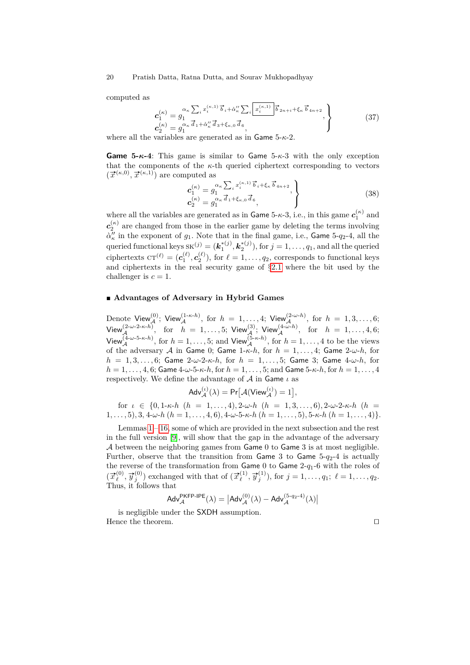computed as

$$
c_1^{(\kappa)} = g_1^{\alpha_{\kappa} \sum_i x_i^{(\kappa,1)} \vec{b}_i + \dot{\alpha}_{\kappa}^{\prime\prime} \sum_i \boxed{x_i^{(\kappa,1)} \vec{b}_{2n+i} + \xi_{\kappa} \vec{b}_{4n+2}}}_{c_2^{(\kappa)} = g_1^{\alpha_{\kappa} \vec{d}_1 + \dot{\alpha}_{\kappa}^{\prime\prime} \vec{d}_3 + \xi_{\kappa,0} \vec{d}_6},
$$
\n(37)

where all the variables are generated as in Game 5-*κ*-2.

**Game**  $5-\kappa-4$ : This game is similar to Game  $5-\kappa-3$  with the only exception that the components of the  $\kappa$ -th queried ciphertext corresponding to vectors  $(\vec{x}^{(\kappa,0)}, \vec{x}^{(\kappa,1)})$  are computed as

$$
\begin{pmatrix}\nc_1^{(\kappa)} = g_1^{\alpha_{\kappa}} \sum_i x_i^{(\kappa,1)} \vec{b}_i + \xi_{\kappa} \vec{b}_{4n+2}, \\
c_2^{(\kappa)} = g_1^{\alpha_{\kappa}} \vec{d}_1 + \xi_{\kappa,0} \vec{d}_6,\n\end{pmatrix}
$$
\n(38)

where all the variables are generated as in Game 5- $\kappa$ -3, i.e., in this game  $\boldsymbol{c}^{(\kappa)}_1$  and  $c_2^{(\kappa)}$  are changed from those in the earlier game by deleting the terms involving  $\alpha''_k$  in the exponent of *g*<sub>1</sub>. Note that in the final game, i.e., Game 5-*q*<sub>2</sub>-4, all the  $q$ ueried functional keys  $g_K(j) = (\boldsymbol{k}_1^{*(j)}, \boldsymbol{k}_2^{*(j)}),$  for  $j = 1, \ldots, q_1$ , and all the queried ciphertexts  $cT^{(\ell)} = (c_1^{(\ell)}, c_2^{(\ell)})$ , for  $\ell = 1, \ldots, q_2$ , corresponds to functional keys and ciphertexts in the real security game of §[2.1](#page-4-0) where the bit used by the challenger is  $c = 1$ .

#### **Advantages of Adversary in Hybrid Games**

Denote  $\mathsf{View}_{\mathcal{A}}^{(0)}; \ \mathsf{View}_{\mathcal{A}}^{(1-\kappa-h)}, \ \mathrm{for} \ \ h \ = \ 1, \ldots, 4; \ \mathsf{View}_{\mathcal{A}}^{(2-\omega-h)}, \ \mathrm{for} \ \ h \ = \ 1, 3, \ldots, 6;$  $\mathsf{View}_{\mathcal{A}}^{(2-\omega-2-\kappa-h)}, \quad \text{for} \quad h \; = \; 1, \ldots, 5; \; \mathsf{View}_{\mathcal{A}}^{(3)}; \; \mathsf{View}_{\mathcal{A}}^{(4-\omega-h)}, \quad \text{for} \quad h \; = \; 1, \ldots, 4, 6;$ View $\mathcal{A}^{(4-\omega-5-\kappa-h)}$ , for  $h=1,\ldots,5$ ; and View $\mathcal{A}^{(5-\kappa-h)}$ , for  $h=1,\ldots,4$  to be the views of the adversary A in Game 0; Game  $1-\kappa$ -*h*, for  $h = 1, \ldots, 4$ ; Game  $2-\omega$ -*h*, for  $h = 1, 3, \ldots, 6$ ; Game  $2-\omega-2-\kappa-h$ , for  $h = 1, \ldots, 5$ ; Game 3; Game  $4-\omega-h$ , for  $h = 1, \ldots, 4, 6$ ; Game  $4-\omega$ -5-*κ*-*h*, for  $h = 1, \ldots, 5$ ; and Game 5-*κ*-*h*, for  $h = 1, \ldots, 4$ respectively. We define the advantage of A in Game *ι* as

$$
\mathsf{Adv}^{(\iota)}_{\mathcal{A}}(\lambda) = \mathsf{Pr}\big[\mathcal{A}(\mathsf{View}^{(\iota)}_{\mathcal{A}}) = 1\big],
$$

for  $\iota \in \{0, 1-\kappa-h \mid (h = 1, \ldots, 4), 2-\omega-h \mid (h = 1, 3, \ldots, 6), 2-\omega-2-\kappa-h \mid (h = 1, 3, \ldots, 6), 2-\omega-1-\kappa-h \mid (h = 1, 3, \ldots, 6), 2-\omega-1-\kappa-h \mid (h = 1, 3, \ldots, 6), 2-\omega-1-\kappa-h \mid (h = 1, 3, \ldots, 6), 2-\omega-1-\kappa-h \mid (h = 1, 3, \ldots, 6), 2-\omega-1-\kappa-h \mid (h = 1, 3, \ld$  $1, \ldots, 5$ , 3, 4- $\omega$ -h (h = 1, ..., 4, 6), 4- $\omega$ -5- $\kappa$ -h (h = 1, ..., 5), 5- $\kappa$ -h (h = 1, ..., 4)}.

Lemmas  $1 - 16$  $1 - 16$  $1 - 16$ , some of which are provided in the next subsection and the rest in the full version [\[9\]](#page-29-15), will show that the gap in the advantage of the adversary A between the neighboring games from  $Game 0$  to  $Game 3$  is at most negligible. Further, observe that the transition from Game 3 to Game  $5-q_2-4$  is actually the reverse of the transformation from  $G$ ame 0 to  $G$ ame  $2-q_1-6$  with the roles of  $\overline{(\vec{x}_{\ell}^{(0)})}$  $\overline{y}^{(0)}_j$ ,  $\overline{y}^{(0)}_j$ ) exchanged with that of  $(\overline{x}^{(1)}_\ell)$  $\vec{y}^{(1)}_{\ell}, \vec{y}^{(1)}_{j}$ , for  $j = 1, \ldots, q_1; \ell = 1, \ldots, q_2$ . Thus, it follows that

$$
\mathsf{Adv}_{\mathcal{A}}^{\mathsf{PKFP}\text{-}\mathsf{IPE}}(\lambda) = \big|\mathsf{Adv}_{\mathcal{A}}^{(0)}(\lambda) - \mathsf{Adv}_{\mathcal{A}}^{(5\text{-}q_2\text{-}4)}(\lambda)\big|
$$

is negligible under the SXDH assumption. Hence the theorem.  $\hfill\Box$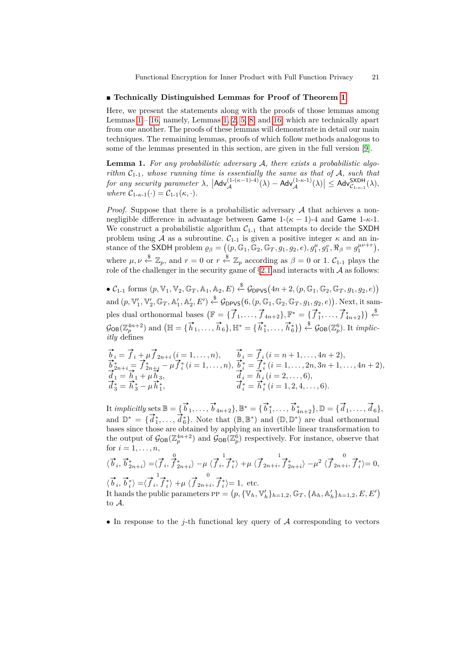#### **Technically Distinguished Lemmas for Proof of Theorem [1](#page-11-0)**

Here, we present the statements along with the proofs of those lemmas among Lemmas  $1 - 16$  $1 - 16$  $1 - 16$ , namely, Lemmas 1, 2, 5, 8, and [16,](#page-28-0) which are technically apart from one another. The proofs of these lemmas will demonstrate in detail our main techniques. The remaining lemmas, proofs of which follow methods analogous to some of the lemmas presented in this section, are given in the full version [\[9\]](#page-29-15).

<span id="page-20-0"></span>**Lemma 1.** *For any probabilistic adversary* A*, there exists a probabilistic algorithm* C1-1*, whose running time is essentially the same as that of* A*, such that*  $\left| \text{for any security parameter } \lambda, \right. \left| \text{Adv}_{\mathcal{A}}^{(1-(\kappa-1)-4)}(\lambda) - \text{Adv}_{\mathcal{A}}^{(1-\kappa-1)}(\lambda) \right| \leq \text{Adv}_{\mathcal{C}_{1-\kappa-1}}^{\text{SXDH}}(\lambda),$ *where*  $C_{1-\kappa-1}(\cdot) = C_{1-1}(\kappa, \cdot).$ 

*Proof.* Suppose that there is a probabilistic adversary  $A$  that achieves a nonnegligible difference in advantage between Game  $1-(\kappa-1)-4$  and Game  $1-\kappa-1$ . We construct a probabilistic algorithm  $C_{1-1}$  that attempts to decide the SXDH problem using A as a subroutine.  $C_{1-1}$  is given a positive integer  $\kappa$  and an instance of the SXDH problem  $\varrho_{\beta} = ((p, \mathbb{G}_1, \mathbb{G}_2, \mathbb{G}_T, g_1, g_2, e), g_1^{\mu}, g_1^{\nu}, \Re_{\beta} = g_1^{\mu\nu+r}),$ where  $\mu, \nu \stackrel{\$}{\leftarrow} \mathbb{Z}_p$ , and  $r = 0$  or  $r \stackrel{\$}{\leftarrow} \mathbb{Z}_p$  according as  $\beta = 0$  or 1.  $\mathcal{C}_{1-1}$  plays the role of the challenger in the security game of  $\S 2.1$  $\S 2.1$  and interacts with A as follows:

 $\bullet$   $\mathcal{C}_{1-1}$  forms  $(p, \mathbb{V}_1, \mathbb{V}_2, \mathbb{G}_T, \mathbb{A}_1, \mathbb{A}_2, E) \stackrel{\$}{\leftarrow} \mathcal{G}_{\text{DPVS}}(4n+2, (p, \mathbb{G}_1, \mathbb{G}_2, \mathbb{G}_T, g_1, g_2, e))$  $\partial_{\mathcal{A}}\left(\mathcal{D},\mathbb{V}_{1}',\mathbb{V}_{2}',\mathbb{G}_{T},\mathbb{A}_{1}',\mathbb{A}_{2}',E'\right)\overset{\$}{\leftarrow}\mathcal{G}_{\mathsf{DPVS}}\left(6,\left(\mathcal{D},\mathbb{G}_{1},\mathbb{G}_{2},\mathbb{G}_{T},g_{1},g_{2},e\right)\right).$  Next, it samples dual orthonormal bases  $(\mathbb{F} = {\vec{f}_1, ..., \vec{f}_{4n+2}}, \mathbb{F}^* = {\vec{f}_1^*, ..., \vec{f}_{4n+2}}) \overset{\text{g}}{\leftarrow}$  $\mathcal{G}_{OB}(\mathbb{Z}_{p}^{4n+2})$  and  $\left(\mathbb{H} = \{\vec{h}_1, \ldots, \vec{h}_6\}, \mathbb{H}^* = \{\vec{h}_1^*, \ldots, \vec{h}_6^*\}\right) \overset{\mathcal{L}}{\leftarrow} \mathcal{G}_{OB}(\mathbb{Z}_{p}^6)$ . It *implicitly* defines

$$
\begin{array}{ll}\n\overrightarrow{b}_{i} = \overrightarrow{f}_{i} + \mu \overrightarrow{f}_{2n+i} \ (i = 1, \ldots, n), & \overrightarrow{b}_{i} = \overrightarrow{f}_{i} \ (i = n+1, \ldots, 4n+2), \\
\overrightarrow{b}_{2n+i}^{*} = \overrightarrow{f}_{2n+i}^{*} - \mu \overrightarrow{f}_{i}^{*} \ (i = 1, \ldots, n), & \overrightarrow{b}_{i}^{*} = \overrightarrow{f}_{i}^{*} \ (i = 1, \ldots, 2n, 3n+1, \ldots, 4n+2), \\
\overrightarrow{d}_{1} = \overrightarrow{h}_{1} + \mu \overrightarrow{h}_{3}, & \overrightarrow{d}_{i} = \overrightarrow{h}_{i} \ (i = 2, \ldots, 6), \\
\overrightarrow{d}_{3}^{*} = \overrightarrow{h}_{3}^{*} - \mu \overrightarrow{h}_{1}^{*}, & \overrightarrow{d}_{i}^{*} = \overrightarrow{h}_{i}^{*} \ (i = 1, 2, 4, \ldots, 6).\n\end{array}
$$

It *implicitly* sets  $\mathbb{B} = {\vec{b}_1, ..., \vec{b}_{4n+2}}, \mathbb{B}^* = {\vec{b}_1^*, ..., \vec{b}_{4n+2}^*, \mathbb{D} = {\vec{d}_1, ..., \vec{d}_6}}$  $\mathbb{D}^* = \{\vec{d}_1^*, \ldots, \vec{d}_6^*\}$ . Note that  $(\mathbb{B}, \mathbb{B}^*)$  and  $(\mathbb{D}, \mathbb{D}^*)$  are dual orthonormal bases since those are obtained by applying an invertible linear transformation to the output of  $\mathcal{G}_{OB}(\mathbb{Z}_p^{4n+2})$  and  $\mathcal{G}_{OB}(\mathbb{Z}_p^6)$  respectively. For instance, observe that for  $i = 1, ..., n$ ,

$$
\langle \vec{b}_i, \vec{b}_{2n+i}^* \rangle = \langle \vec{f}_i, \vec{f}_{2n+i}^* \rangle - \mu \langle \vec{f}_i, \vec{f}_i^* \rangle + \mu \langle \vec{f}_{2n+i}, \vec{f}_{2n+i}^* \rangle - \mu^2 \langle \vec{f}_{2n+i}, \vec{f}_i^* \rangle = 0,
$$
  

$$
\langle \vec{b}_i, \vec{b}_i^* \rangle = \langle \vec{f}_i, \vec{f}_i^* \rangle + \mu \langle \vec{f}_{2n+i}, \vec{f}_i^* \rangle = 1, \text{ etc.}
$$
  
It hands the public parameters  $PP = (p, \{V_h, V_h'\}_{h=1,2}, \mathbb{G}_T, \{A_h, A_h'\}_{h=1,2}, E, E')$ 

*h h* to A.

 $\bullet$  In response to the *j*-th functional key query of  $\mathcal A$  corresponding to vectors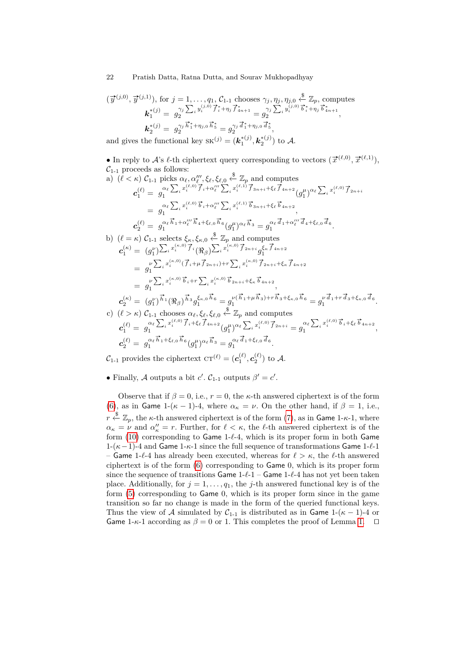$$
(\vec{y}^{(j,0)}, \vec{y}^{(j,1)}), \text{ for } j = 1, \dots, q_1, C_{1-1} \text{ chooses } \gamma_j, \eta_j, \eta_j, 0 \stackrel{\$}{\leftarrow} \mathbb{Z}_p, \text{ computes}
$$

$$
\mathbf{k}_1^{*(j)} = g_2^{\gamma_j \sum_i y_i^{(j,0)} \vec{f}_i^* + \eta_j \vec{f}_{4n+1}^*} = g_2^{\gamma_j \sum_i y_i^{(j,0)} \vec{b}_i^* + \eta_j \vec{b}_{4n+1}^*},
$$

$$
\mathbf{k}_2^{*(j)} = g_2^{\gamma_j \vec{h}_1^* + \eta_j, 0 \vec{h}_5^*} = g_2^{\gamma_j \vec{d}_1^* + \eta_j, 0 \vec{d}_5^*},
$$

and gives the functional key  $\mathbf{sk}^{(j)} = (\mathbf{k}_1^{*(j)}, \mathbf{k}_2^{*(j)})$  to A.

• In reply to  $\mathcal{A}$ 's  $\ell$ -th ciphertext query corresponding to vectors  $(\vec{x}^{(\ell,0)}, \vec{x}^{(\ell,1)}),$  $C_{1-1}$  proceeds as follows:  $\ddot{\textbf{S}}$ 

a) 
$$
(\ell < \kappa) C_{1-1}
$$
 picks  $\alpha_{\ell}, \alpha_{\ell}''$ ,  $\xi_{\ell}, \xi_{\ell,0} \stackrel{\text{g}}{\leftarrow} \mathbb{Z}_p$  and computes  
\n
$$
\mathbf{c}_1^{(\ell)} = g_1^{\alpha_{\ell}} \sum_i x_i^{(\ell,0)} \vec{f}_{i} + \alpha_{\ell}'' \sum_i x_i^{(\ell,1)} \vec{f}_{3n+i} + \xi_{\ell} \vec{f}_{4n+2} (g_1^{\mu})^{\alpha_{\ell}} \sum_i x_i^{(\ell,0)} \vec{f}_{2n+i}
$$
\n
$$
= g_1^{\alpha_{\ell}} \sum_i x_i^{(\ell,0)} \vec{b}_{i} + \alpha_{\ell}''' \sum_i x_i^{(\ell,1)} \vec{b}_{3n+i} + \xi_{\ell} \vec{b}_{4n+2} (g_1^{\mu})^{\alpha_{\ell}} \sum_i x_i^{(\ell,0)} \vec{f}_{2n+i}
$$
\n
$$
\mathbf{c}_2^{(\ell)} = g_1^{\alpha_{\ell}} \vec{h}_1 + \alpha_{\ell}''' \vec{h}_4 + \xi_{\ell,0} \vec{h}_6 (g_1^{\mu})^{\alpha_{\ell}} \vec{h}_3 = g_1^{\alpha_{\ell}} \vec{d}_1 + \alpha_{\ell}''' \vec{d}_4 + \xi_{\ell,0} \vec{d}_6
$$

b) 
$$
(\ell = \kappa) C_{1-1}
$$
 selects  $\xi_{\kappa}, \xi_{\kappa,0} \stackrel{\$}{\leftarrow} \mathbb{Z}_p$  and computes  
\n
$$
\mathbf{c}_1^{(\kappa)} = (g_1^{\nu}) \sum_i x_i^{(\kappa,0)} \vec{f}_i (\mathfrak{R}_\beta) \sum_i x_i^{(\kappa,0)} \vec{f}_{2n+i} \vec{g}_i^{\kappa} \vec{f}_{4n+2}
$$
\n
$$
= g_1^{\nu} \sum_i x_i^{(\kappa,0)} (\vec{f}_i + \mu \vec{f}_{2n+i}) + r \sum_i x_i^{(\kappa,0)} \vec{f}_{2n+i} + \xi_{\kappa} \vec{f}_{4n+2}
$$
\n
$$
= g_1^{\nu} \sum_i x_i^{(\kappa,0)} \vec{b}_i + r \sum_i x_i^{(\kappa,0)} \vec{b}_{2n+i} + \xi_{\kappa} \vec{b}_{4n+2},
$$
\n
$$
\mathbf{c}_2^{(\kappa)} = (g_1^{\nu}) \vec{h}_1 (\mathfrak{R}_\beta) \vec{h}_3 g_1^{\xi_{\kappa,0}} \vec{h}_6 = g_1^{\nu} (\vec{h}_1 + \mu \vec{h}_3) + r \vec{h}_3 + \xi_{\kappa,0} \vec{h}_6 = g_1^{\nu} \vec{d}_1 + r \vec{d}_3 + \xi_{\kappa,0} \vec{d}_6.
$$

c) 
$$
(\ell > \kappa) C_{1-1}
$$
 chooses  $\alpha_{\ell}, \xi_{\ell}, \xi_{\ell,0} \stackrel{\$}{\leftarrow} \mathbb{Z}_p$  and computes  
\n
$$
\mathbf{c}_1^{(\ell)} = g_1^{\alpha_{\ell} \sum_i x_i^{(\ell,0)}} \overrightarrow{f}_i + \xi_{\ell} \overrightarrow{f}_{4n+2} (g_1^{\mu})^{\alpha_{\ell} \sum_i x_i^{(\ell,0)}} \overrightarrow{f}_{2n+i} = g_1^{\alpha_{\ell} \sum_i x_i^{(\ell,0)}} \overrightarrow{b}_i + \xi_{\ell} \overrightarrow{b}_{4n+2},
$$
\n
$$
\mathbf{c}_2^{(\ell)} = g_1^{\alpha_{\ell} \overrightarrow{h}_1 + \xi_{\ell,0} \overrightarrow{h}_6} (g_1^{\mu})^{\alpha_{\ell} \overrightarrow{h}_3} = g_1^{\alpha_{\ell} \overrightarrow{d}_1 + \xi_{\ell,0} \overrightarrow{d}_6}.
$$

 $\mathcal{C}_{1\text{-}1}$  provides the ciphertext  $\mathrm{CT}^{(\ell)} = (\mathbf{c}_1^{(\ell)}, \mathbf{c}_2^{(\ell)})$  to A.

• Finally, A outputs a bit  $c'$ .  $C_{1-1}$  outputs  $\beta' = c'$ .

<span id="page-21-0"></span>Observe that if  $\beta = 0$ , i.e.,  $r = 0$ , the *κ*-th answered ciphertext is of the form [\(6\)](#page-11-1), as in Game 1-( $\kappa$  - 1)-4, where  $\alpha_{\kappa} = \nu$ . On the other hand, if  $\beta = 1$ , i.e., *r*  $\stackrel{\$}{\leftarrow} \mathbb{Z}_p$ , the *κ*-th answered ciphertext is of the form [\(7\)](#page-12-1), as in Game 1-*κ*-1, where  $\alpha_{\kappa} = \nu$  and  $\alpha''_{\kappa} = r$ . Further, for  $\ell < \kappa$ , the  $\ell$ -th answered ciphertext is of the form  $(10)$  corresponding to Game 1- $\ell$ -4, which is its proper form in both Game 1-(*κ*−1)-4 and Game 1-*κ*-1 since the full sequence of transformations Game 1-*`*-1 – Game 1- $\ell$ -4 has already been executed, whereas for  $\ell > \kappa$ , the  $\ell$ -th answered ciphertext is of the form [\(6\)](#page-11-1) corresponding to Game 0, which is its proper form since the sequence of transitions  $Game 1-\ell-1 - Game 1-\ell-4$  has not yet been taken place. Additionally, for  $j = 1, \ldots, q_1$ , the *j*-th answered functional key is of the form [\(5\)](#page-11-2) corresponding to Game 0, which is its proper form since in the game transition so far no change is made in the form of the queried functional keys. Thus the view of A simulated by  $C_{1-1}$  is distributed as in Game 1-( $\kappa - 1$ )-4 or Game 1-*κ*-1 according as  $\beta = 0$  or [1.](#page-20-0) This completes the proof of Lemma 1. □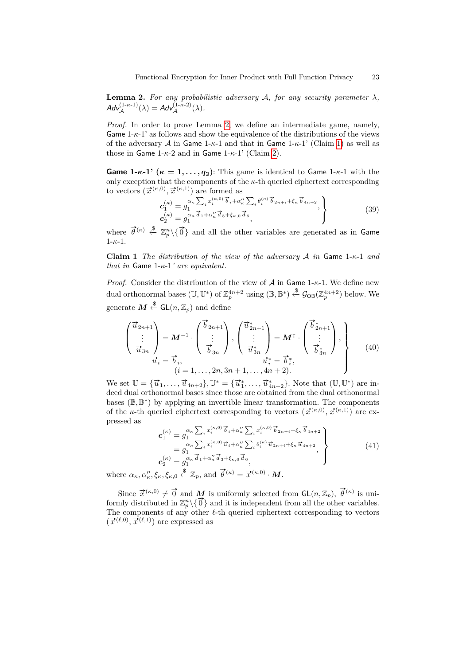**Lemma 2.** For any probabilistic adversary  $A$ , for any security parameter  $\lambda$ ,  $Adv_{\mathcal{A}}^{(1-\kappa-1)}(\lambda) = Adv_{\mathcal{A}}^{(1-\kappa-2)}(\lambda).$ 

*Proof.* In order to prove Lemma [2,](#page-21-0) we define an intermediate game, namely, Game 1-*κ*-1' as follows and show the equivalence of the distributions of the views of the adversary A in Game  $1-\kappa-1$  and that in Game  $1-\kappa-1$ ' (Claim [1\)](#page-22-0) as well as those in Game  $1-\kappa-2$  and in Game  $1-\kappa-1$ <sup>'</sup> (Claim [2\)](#page-23-1).

**Game** 1-*κ*-1' ( $\kappa = 1, \ldots, q_2$ ): This game is identical to Game 1-*κ*-1 with the only exception that the components of the *κ*-th queried ciphertext corresponding to vectors  $(\vec{x}^{(\kappa,0)}, \vec{x}^{(\kappa,1)})$  are formed as

<span id="page-22-2"></span>
$$
\mathbf{c}_{1}^{(\kappa)} = g_{1}^{\alpha_{\kappa}} \sum_{i} x_{i}^{(\kappa,0)} \vec{b}_{i} + \alpha_{\kappa}^{\prime\prime} \sum_{i} \theta_{i}^{(\kappa)} \vec{b}_{2n+i} + \xi_{\kappa} \vec{b}_{4n+2},
$$
\n
$$
\mathbf{c}_{2}^{(\kappa)} = g_{1}^{\alpha_{\kappa}} \vec{d}_{1} + \alpha_{\kappa}^{\prime\prime} \vec{d}_{3} + \xi_{\kappa,0} \vec{d}_{6},
$$
\n(39)

<span id="page-22-0"></span>where  $\vec{\theta}^{(\kappa)} \leftarrow \mathbb{Z}_p^n \setminus {\vec{0}}$  and all the other variables are generated as in Game 1-*κ*-1.

**Claim 1** *The distribution of the view of the adversary* A *in* Game 1-*κ*-1 *and that in* Game 1-*κ*-1*' are equivalent.*

*Proof.* Consider the distribution of the view of A in Game 1-*κ*-1. We define new dual orthonormal bases (U, U<sup>\*</sup>) of  $\mathbb{Z}_p^{4n+2}$  using ( $\mathbb{B}, \mathbb{B}^*$ )  $\stackrel{\$}{\leftarrow}$   $\mathcal{G}_{OB}(\mathbb{Z}_p^{4n+2})$  below. We generate  $M \xleftarrow{\$} \mathsf{GL}(n, \mathbb{Z}_p)$  and define

<span id="page-22-3"></span>
$$
\begin{pmatrix}\n\vec{u}_{2n+1} \\
\vdots \\
\vec{u}_{3n}\n\end{pmatrix} = \mathbf{M}^{-1} \cdot \begin{pmatrix}\n\vec{b}_{2n+1} \\
\vdots \\
\vec{b}_{3n}\n\end{pmatrix}, \begin{pmatrix}\n\vec{u}_{2n+1}^* \\
\vdots \\
\vec{u}_{3n}^* \\
\vdots \\
\vec{u}_i^* = \vec{b}_i^*, \\
(i = 1, \dots, 2n, 3n+1, \dots, 4n+2).\n\end{pmatrix} = \mathbf{M}^\mathsf{T} \cdot \begin{pmatrix}\n\vec{b}_{2n+1}^* \\
\vdots \\
\vec{b}_{3n}^* \\
\vdots \\
\vec{b}_{3n}^*\n\end{pmatrix},
$$
\n(40)

We set  $\mathbb{U} = {\{\vec{u}_1, \ldots, \vec{u}_{4n+2}\}, \mathbb{U}^* = {\{\vec{u}_1^*, \ldots, \vec{u}_{4n+2}^*\}}$ . Note that  $(\mathbb{U}, \mathbb{U}^*)$  are indeed dual orthonormal bases since those are obtained from the dual orthonormal bases (**B**, **B**<sup>\*</sup>) by applying an invertible linear transformation. The components **of the** *κ***-th queried ciphertext corresponding to vectors**  $(\vec{x}^{(\kappa,0)}, \vec{x}^{(\kappa,1)})$  **are ex**pressed as

<span id="page-22-1"></span>
$$
\mathbf{c}_{1}^{(\kappa)} = g_{1}^{\alpha_{\kappa}} \sum_{i} x_{i}^{(\kappa,0)} \vec{b}_{i} + \alpha_{\kappa}^{\prime\prime} \sum_{i} x_{i}^{(\kappa,0)} \vec{b}_{2n+i} + \xi_{\kappa} \vec{b}_{4n+2}
$$
\n
$$
= g_{1}^{\alpha_{\kappa}} \sum_{i} x_{i}^{(\kappa,0)} \vec{u}_{i} + \alpha_{\kappa}^{\prime\prime} \sum_{i} \theta_{i}^{(\kappa)} \vec{u}_{2n+i} + \xi_{\kappa} \vec{u}_{4n+2},
$$
\n
$$
\mathbf{c}_{2}^{(\kappa)} = g_{1}^{\alpha_{\kappa}} \vec{d}_{1} + \alpha_{\kappa}^{\prime\prime} \vec{d}_{3} + \xi_{\kappa,0} \vec{d}_{6},
$$
\n
$$
\xi_{1}^{(\kappa)} = \xi_{1}^{\alpha_{\kappa}} \vec{d}_{1} + \xi_{\kappa}^{\prime\prime} \vec{d}_{3} + \xi_{\kappa,0} \vec{d}_{6},
$$
\n
$$
\xi_{2}^{(\kappa)} = \xi_{1}^{\alpha_{\kappa}} \vec{d}_{2} + \xi_{\kappa,0} \vec{d}_{1}^{\alpha_{\kappa}}
$$
\n
$$
(41)
$$

where  $\alpha_{\kappa}, \alpha''_{\kappa}, \xi_{\kappa}, \xi_{\kappa,0} \stackrel{\mathcal{L}}{\leftarrow} \mathbb{Z}_p$ , and  $\vec{\theta}^{(\kappa)} = \vec{x}^{(\kappa,0)} \cdot \vec{M}$ .

Since  $\vec{x}^{(\kappa,0)} \neq \vec{0}$  and M is uniformly selected from  $\mathsf{GL}(n,\mathbb{Z}_p)$ ,  $\vec{\theta}^{(\kappa)}$  is uni-Since  $x \rightarrow \neq 0$  and M is uniformly selected from  $GL(n, \mathbb{Z}_p)$ ,  $\theta \rightarrow$  is uniformly distributed in  $\mathbb{Z}_p^n \setminus \{ \vec{0} \}$  and it is independent from all the other variables. The components of any other  $\ell$ -th queried ciphertext corresponding to vectors  $(\vec{x}^{(\ell,0)}, \vec{x}^{(\ell,1)})$  are expressed as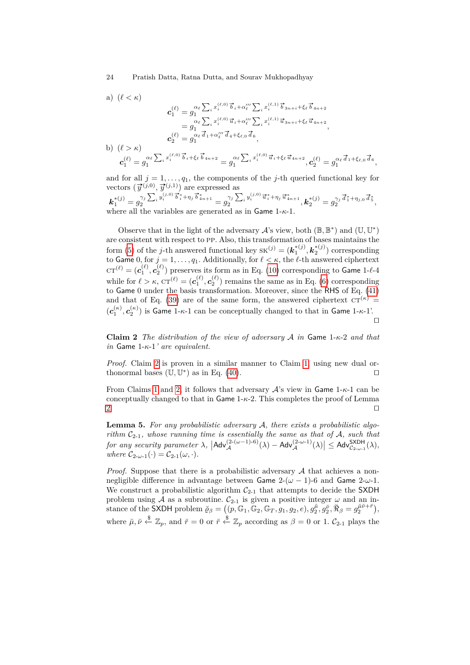a) 
$$
(\ell < \kappa)
$$
  
\n
$$
\mathbf{c}_{1}^{(\ell)} = g_{1}^{\alpha_{\ell}} \sum_{i} x_{i}^{(\ell,0)} \vec{b}_{i} + \alpha_{\ell}^{\prime\prime} \sum_{i} x_{i}^{(\ell,1)} \vec{b}_{3n+i} + \xi_{\ell} \vec{b}_{4n+2}
$$
\n
$$
= g_{1}^{\alpha_{\ell}} \sum_{i} x_{i}^{(\ell,0)} \vec{u}_{i} + \alpha_{\ell}^{\prime\prime} \sum_{i} x_{i}^{(\ell,1)} \vec{u}_{3n+i} + \xi_{\ell} \vec{u}_{4n+2}
$$
\n
$$
\mathbf{c}_{2}^{(\ell)} = g_{1}^{\alpha_{\ell}} \vec{d}_{1} + \alpha_{\ell}^{\prime\prime} \vec{d}_{4} + \xi_{\ell,0} \vec{d}_{6},
$$
\nb)  $(\ell > \kappa)$   
\n
$$
\mathbf{c}_{1}^{(\ell)} = g_{1}^{\alpha_{\ell}} \sum_{i} x_{i}^{(\ell,0)} \vec{b}_{i} + \xi_{\ell} \vec{b}_{4n+2} = g_{1}^{\alpha_{\ell}} \sum_{i} x_{i}^{(\ell,0)} \vec{u}_{i} + \xi_{\ell} \vec{u}_{4n+2}, \mathbf{c}_{2}^{(\ell)} = g_{1}^{\alpha_{\ell}} \vec{d}_{1} + \xi_{\ell,0} \vec{d}_{6},
$$

and for all  $j = 1, \ldots, q_1$ , the components of the *j*-th queried functional key for vectors  $(\vec{y}^{(j,0)}, \vec{y}^{(j,1)})$  are expressed as

 $\bm{k}_1^{*(j)}=g_2^{\gamma_j}\sum_i y_i^{(j,0)} \vec{b}_{i}^{*} + \eta_j \vec{b}_{4n+1}^{*} =g_2^{\gamma_j}\sum_i y_i^{(j,0)} \vec{u}_{i}^{*} + \eta_j \vec{u}_{4n+1}^{*}, \bm{k}_2^{*(j)}=g_2^{\gamma_j}\vec{d}_{1}^{*} + \eta_{j,0} \vec{d}_{5}^{*},$ where all the variables are generated as in Game 1-*κ*-1.

Observe that in the light of the adversary  $\mathcal{A}$ 's view, both  $(\mathbb{B}, \mathbb{B}^*)$  and  $(\mathbb{U}, \mathbb{U}^*)$ are consistent with respect to pp. Also, this transformation of bases maintains the form [\(5\)](#page-11-2) of the *j*-th answered functional key  $SK^{(j)} = (\mathbf{k}_1^{*(j)}, \mathbf{k}_2^{*(j)})$  corresponding to Game 0, for  $j = 1, \ldots, q_1$ . Additionally, for  $\ell < \kappa$ , the  $\ell$ -th answered ciphertext  $\mathrm{cr}^{(\ell)} = (\bm{c}^{(\ell)}_1, \bm{c}^{(\ell)}_2)$  preserves its form as in Eq. [\(10\)](#page-12-0) corresponding to **Game** 1- $\ell$ -4 while for  $\ell > \kappa$ ,  $CT^{(\ell)} = (c_1^{(\ell)}, c_2^{(\ell)})$  remains the same as in Eq. [\(6\)](#page-11-1) corresponding to Game 0 under the basis transformation. Moreover, since the RHS of Eq. [\(41\)](#page-22-1) and that of Eq. [\(39\)](#page-22-2) are of the same form, the answered ciphertext  $CT^{(\kappa)}$  =  $(c_1^{(\kappa)},c_2^{(\kappa)})$  is Game 1-*κ*-1 can be conceptually changed to that in Game 1-*κ*-1'.  $\Box$ 

<span id="page-23-1"></span>**Claim 2** *The distribution of the view of adversary* A *in* Game 1-*κ*-2 *and that in* Game 1-*κ*-1*' are equivalent.*

*Proof.* Claim [2](#page-23-1) is proven in a similar manner to Claim [1,](#page-22-0) using new dual orthonormal bases  $(\mathbb{U}, \mathbb{U}^*)$  as in Eq. [\(40\)](#page-22-3).

From Claims [1](#page-22-0) and [2,](#page-23-1) it follows that adversary  $\mathcal{A}$ 's view in Game 1- $\kappa$ -1 can be conceptually changed to that in Game 1-*κ*-2. This completes the proof of Lemma [2.](#page-21-0)

<span id="page-23-0"></span>**Lemma 5.** *For any probabilistic adversary* A*, there exists a probabilistic algorithm*  $C_{2-1}$ *, whose running time is essentially the same as that of*  $A$ *, such that*  $\mathsf{for\ any\ security\ parameter\ } \lambda, \ \big| \mathsf{Adv}_{\mathcal{A}}^{(2-(\omega-1)-6)}(\lambda) - \mathsf{Adv}_{\mathcal{A}}^{(2-\omega-1)}(\lambda) \big| \leq \mathsf{Adv}_{\mathcal{C}_{2-\omega-1}}^{\mathsf{SXDH}}(\lambda),$ *where*  $C_{2-\omega-1}(\cdot) = C_{2-1}(\omega, \cdot)$ *.* 

*Proof.* Suppose that there is a probabilistic adversary A that achieves a nonnegligible difference in advantage between Game 2-(*ω* − 1)-6 and Game 2-*ω*-1. We construct a probabilistic algorithm  $C_{2-1}$  that attempts to decide the SXDH problem using A as a subroutine.  $C_{2-1}$  is given a positive integer  $\omega$  and an instance of the SXDH problem  $\check{\varrho}_{\beta} = ((p, \mathbb{G}_1, \mathbb{G}_2, \mathbb{G}_T, g_1, g_2, e), g_2^{\check{\mu}}, g_2^{\check{\nu}}, \check{\mathfrak{R}}_{\beta} = g_2^{\check{\mu}\check{\nu}+\check{r}}),$ where  $\mu, \nu \stackrel{\$}{\leftarrow} \mathbb{Z}_p$ , and  $\breve{r} = 0$  or  $\breve{r} \stackrel{\$}{\leftarrow} \mathbb{Z}_p$  according as  $\beta = 0$  or 1.  $\mathcal{C}_{2-1}$  plays the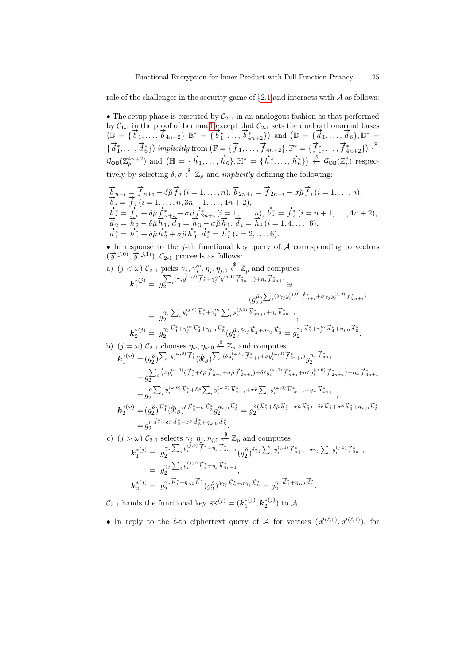role of the challenger in the security game of  $\S 2.1$  $\S 2.1$  and interacts with  $\mathcal A$  as follows:

• The setup phase is executed by  $C_{2-1}$  in an analogous fashion as that performed by  $C_{1-1}$  in the proof of Lemma [1](#page-20-0) except that  $C_{2-1}$  sets the dual orthonormal bases by  $c_{1-1}$  in the proof of Lemma 1 except that  $c_{2-1}$  sets the qual orthonormal bases  $(\mathbb{B} = {\overrightarrow{b}_1, \ldots, \overrightarrow{b}_{4n+2}}, \mathbb{B}^* = {\overrightarrow{b}_1^*, \ldots, \overrightarrow{b}_{4n+2}^*} )$  and  $(\mathbb{D} = {\overrightarrow{d}_1, \ldots, \overrightarrow{d}_6}, \mathbb{D}^* =$  $\{\vec{d}_1^*, \ldots, \vec{d}_6^*\}$  implicitly from  $\left(\mathbb{F} = \{\vec{f}_1, \ldots, \vec{f}_{4n+2}\}, \mathbb{F}^* = \{\vec{f}_1^*, \ldots, \vec{f}_{4n+2}\}\right\}$  $G_{\text{OB}}(\mathbb{Z}_{p}^{4n+2})$  and  $(\mathbb{H} = {\{\vec{h}_1, ..., \vec{h}_6\}}, \mathbb{H}^* = {\{\vec{h}_1^*, ..., \vec{h}_6^*\}}) \overset{(3, 1)}{\triangleq} G_{\text{OB}}(\mathbb{Z}_{p}^{6})$  respectively by selecting  $\delta, \sigma \stackrel{\$}{\leftarrow} \mathbb{Z}_p$  and *implicitly* defining the following:

$$
\overrightarrow{b}_{n+i} = \overrightarrow{f}_{n+i} - \delta \overrightarrow{\mu} \overrightarrow{f}_i (i = 1, ..., n), \overrightarrow{b}_{2n+i} = \overrightarrow{f}_{2n+i} - \sigma \overrightarrow{\mu} \overrightarrow{f}_i (i = 1, ..., n), \n\overrightarrow{b}_i = \overrightarrow{f}_i (i = 1, ..., n, 3n + 1, ..., 4n + 2), \n\overrightarrow{b}_i^* = \overrightarrow{f}_i^* + \delta \overrightarrow{\mu} \overrightarrow{f}_{n+i}^* + \sigma \overrightarrow{\mu} \overrightarrow{f}_{2n+i}^* (i = 1, ..., n), \overrightarrow{b}_i^* = \overrightarrow{f}_i^* (i = n + 1, ..., 4n + 2), \n\overrightarrow{d}_2 = \overrightarrow{h}_2 - \delta \overrightarrow{\mu} \overrightarrow{h}_1, \overrightarrow{d}_3 = \overrightarrow{h}_3 - \sigma \overrightarrow{\mu} \overrightarrow{h}_1, \overrightarrow{d}_i = \overrightarrow{h}_i (i = 1, 4, ..., 6), \n\overrightarrow{d}_1^* = \overrightarrow{h}_1^* + \delta \overrightarrow{\mu} \overrightarrow{h}_2^* + \sigma \overrightarrow{\mu} \overrightarrow{h}_3^*, \overrightarrow{d}_i^* = \overrightarrow{h}_i^* (i = 2, ..., 6).
$$

• In response to the  $j$ -th functional key query of  $A$  corresponding to vectors  $(\vec{y}^{(j,0)}, \vec{y}^{(j,1)}), C_{2-1}$  proceeds as follows:

a) 
$$
(j < \omega)
$$
  $C_{2-1}$  picks  $\gamma_j, \gamma_j'', \eta_j, \eta_{j,0} \stackrel{\$}{\to} \mathbb{Z}_p$  and computes  
\n
$$
\mathbf{k}_1^{*(j)} = g_2^{\sum_i (\gamma_j y_i^{(j,0)} \vec{f}_i^* + \gamma_j'' y_i^{(j,1)} \vec{f}_{3n+i}^* + \eta_j \vec{f}_{4n+1}^* \oplus (g_2^{\mu})^{\sum_i (\delta \gamma_j y_i^{(j,0)} \vec{f}_{n+i}^* + \sigma \gamma_j y_i^{(j,0)} \vec{f}_{2n+i}^*)}
$$
\n
$$
= g_2^{\gamma_j \sum_i y_i^{(j,0)} \vec{b}_i^* + \gamma_j'' \sum_i y_i^{(j,1)} \vec{b}_{3n+i}^* + \eta_j \vec{b}_{4n+1}^*}
$$
\n
$$
\mathbf{k}_2^{*(j)} = g_2^{\gamma_j \vec{h}_1^* + \gamma_j'' \vec{h}_4^* + \eta_{j,0} \vec{h}_5^*} (g_2^{\mu})^{\delta \gamma_j \vec{h}_2^* + \sigma \gamma_j \vec{h}_3^*} = g_2^{\gamma_j \vec{d}_1^* + \gamma_j'' \vec{d}_4^* + \eta_{j,0} \vec{d}_5^*}.
$$
\nb)  $(j = \omega)$   $C_{2-1}$  chooses  $\eta_\omega, \eta_\omega, 0 \stackrel{\$}{\to} \mathbb{Z}_p$  and computes  
\n
$$
\mathbf{k}_1^{*(\omega)} = (g_2^{\nu})^{\sum_i y_i^{(\omega,0)} \vec{f}_i^*} (\widetilde{\mathfrak{R}}_\beta)^{\sum_i (\delta y_i^{(\omega,0)} \vec{f}_{n+i}^* + \sigma y_i^{(\omega,0)} \vec{f}_{2n+i}^*)} g_2^{\eta_\omega \vec{f}_{4n+1}}
$$
\n
$$
= g_2^{\sum_i (\nu y_i^{(\omega,0)} \vec{f}_i^* + \delta \vec{\mu} \vec{f}_{n+i}^* + \sigma \vec{\mu} \vec{f}_{2n+i}^*) + \delta \gamma y_i^{(\omega,0)} \vec{f}_{2n+i}^* + \eta_j^{(\omega,0)} \vec{f}_{2n+i}^* + \eta_j \vec{f}_{2n+i}^* + \eta
$$

c) 
$$
(j > \omega) C_{2-1}
$$
 selects  $\gamma_j, \eta_j, \eta_j, 0, \sum_{i=1}^{\infty} \mathbb{Z}_p$  and computes  
\n
$$
\mathbf{k}_1^{*(j)} = g_2^{\gamma_j \sum_i y_i^{(j,0)} \vec{f}_i + \eta_j \vec{f}_{4n+1}}(g_2^{\check{\mu}})^{\delta \gamma_j \sum_i y_i^{(j,0)} \vec{f}_{n+i} + \sigma \gamma_j \sum_i y_i^{(j,0)} \vec{f}_{2n+i}^*}
$$
\n
$$
= g_2^{\gamma_j \sum_i y_i^{(j,0)} \vec{b}_i^* + \eta_j \vec{b}_{4n+1}^*},
$$
\n
$$
\mathbf{k}_2^{*(j)} = g_2^{\gamma_j \vec{h}_1^* + \eta_{j,0} \vec{h}_5^*}(g_2^{\check{\mu}})^{\delta \gamma_j \vec{h}_2^* + \sigma \gamma_j \vec{h}_3^*} = g_2^{\gamma_j \vec{d}_1^* + \eta_{j,0} \vec{d}_5^*}.
$$

 $C_{2-1}$  hands the functional key  $SK^{(j)} = (\mathbf{k}_1^{*(j)}, \mathbf{k}_2^{*(j)})$  to A.

• In reply to the  $\ell$ -th ciphertext query of A for vectors  $(\vec{x}^{(\ell,0)}, \vec{x}^{(\ell,1)})$ , for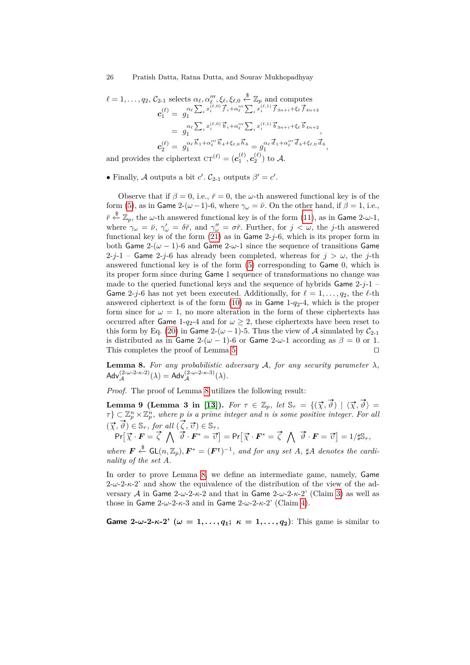$$
\ell = 1, \ldots, q_2, \mathcal{C}_{2-1} \text{ selects } \alpha_{\ell}, \alpha_{\ell}''', \xi_{\ell}, \xi_{\ell,0} \stackrel{\$}{\rightleftharpoons} \mathbb{Z}_p \text{ and computes}
$$
\n
$$
\mathbf{c}_1^{(\ell)} = g_1^{\alpha_{\ell} \sum_i x_i^{(\ell,0)} \vec{f}_i + \alpha_{\ell}''' \sum_i x_i^{(\ell,1)} \vec{f}_{3n+i} + \xi_{\ell} \vec{f}_{4n+2}}
$$
\n
$$
= g_1^{\alpha_{\ell} \sum_i x_i^{(\ell,0)} \vec{b}_i + \alpha_{\ell}''' \sum_i x_i^{(\ell,1)} \vec{b}_{3n+i} + \xi_{\ell} \vec{b}_{4n+2}},
$$
\n
$$
\mathbf{c}_2^{(\ell)} = g_1^{\alpha_{\ell} \vec{h}_1 + \alpha_{\ell}''' \vec{h}_4 + \xi_{\ell,0} \vec{h}_6} = g_1^{\alpha_{\ell} \vec{d}_1 + \alpha_{\ell}''' \vec{d}_4 + \xi_{\ell,0} \vec{d}_6},
$$

and provides the ciphertext  $\mathrm{CT}^{(\ell)} = (\mathbf{c}_1^{(\ell)}, \mathbf{c}_2^{(\ell)})$  to A.

### • Finally, A outputs a bit *c'*.  $C_{2-1}$  outputs  $\beta' = c'$ .

Observe that if  $\beta = 0$ , i.e.,  $\breve{r} = 0$ , the *ω*-th answered functional key is of the form [\(5\)](#page-11-2), as in Game 2-( $\omega$  – 1)-6, where  $\gamma_{\omega} = \nu$ . On the other hand, if  $\beta = 1$ , i.e.,  $\breve{r} \overset{\$}{\leftarrow} \mathbb{Z}_p$ , the *ω*-th answered functional key is of the form [\(11\)](#page-13-1), as in Game 2-*ω*-1, where  $\gamma_{\omega} = \tilde{\nu}, \gamma_{\omega}' = \delta \tilde{r}$ , and  $\gamma_{\omega}'' = \sigma \tilde{r}$ . Further, for  $j < \omega$ , the *j*-th answered functional key is of the form [\(21\)](#page-15-1) as in Game 2-*j*-6, which is its proper form in both Game  $2-(\omega - 1)$ -6 and Game  $2-\omega$ -1 since the sequence of transitions Game 2-*j*-1 – Game 2-*j*-6 has already been completed, whereas for  $j > \omega$ , the *j*-th answered functional key is of the form [\(5\)](#page-11-2) corresponding to Game 0, which is its proper form since during Game 1 sequence of transformations no change was made to the queried functional keys and the sequence of hybrids Game 2-*j*-1 – Game 2-*j*-6 has not yet been executed. Additionally, for  $\ell = 1, \ldots, q_2$ , the  $\ell$ -th answered ciphertext is of the form [\(10\)](#page-12-0) as in Game 1-*q*2-4, which is the proper form since for  $\omega = 1$ , no more alteration in the form of these ciphertexts has occurred after **Game** 1- $q_2$ -4 and for  $\omega \geq 2$ , these ciphertexts have been reset to this form by Eq. [\(20\)](#page-15-0) in Game 2-( $\omega$  − 1)-5. Thus the view of A simulated by  $C_{2-1}$ is distributed as in Game 2-( $\omega$  − 1)-6 or Game 2- $\omega$ -1 according as  $\beta = 0$  or 1. This completes the proof of Lemma [5.](#page-23-0)  $\Box$ 

<span id="page-25-0"></span>**Lemma 8.** *For any probabilistic adversary* A*, for any security parameter λ,*  $\mathsf{Adv}_{\mathcal{A}}^{(2-\omega-2-\kappa-2)}(\lambda) = \mathsf{Adv}_{\mathcal{A}}^{(2-\omega-2-\kappa-3)}(\lambda).$ 

*Proof.* The proof of Lemma [8](#page-25-0) utilizes the following result:

<span id="page-25-1"></span>**Lemma 9 (Lemma 3 in [\[13\]](#page-29-11)).** *For*  $\tau \in \mathbb{Z}_p$ , *let*  $\mathbb{S}_{\tau} = \{(\vec{\chi}, \vec{\vartheta}) \mid \langle \vec{\chi}, \vec{\vartheta} \rangle =$  $\{\tau\} \subset \mathbb{Z}_p^n \times \mathbb{Z}_p^n$ , where *p* is a prime integer and *n* is some positive integer. For all  $(\vec{\chi}, \vec{\vartheta}) \in \mathbb{S}_{\tau}$ , for all  $(\vec{\zeta}, \vec{v}) \in \mathbb{S}_{\tau}$ ,

*n*-*γ θ γ π*<sub>*i*</sub> *θ j θ i*<sub>*i*</sub> *j j j F F* = *τj j j F F* = *τj j j F* = *τj j j F* = *τj j =* 1/‡S<sub>*τ*</sub>,

 $where \ \mathbf{F} \stackrel{\$}{\leftarrow} \mathsf{GL}(n, \mathbb{Z}_p), \mathbf{F}^* = (\mathbf{F}^{\mathsf{T}})^{-1}, \ and \ for \ any \ set \ A, \ \sharp A \ denotes \ the \ cardinal \$ *nality of the set A.*

In order to prove Lemma [8,](#page-25-0) we define an intermediate game, namely, Game  $2-\omega-2-\kappa-2$ ' and show the equivalence of the distribution of the view of the adversary A in Game  $2-\omega-2-\kappa-2$  and that in Game  $2-\omega-2-\kappa-2$ ' (Claim [3\)](#page-26-0) as well as those in Game  $2-\omega-2-\kappa-3$  and in Game  $2-\omega-2-\kappa-2$ <sup>'</sup> (Claim [4\)](#page-27-0).

**Game**  $2-\omega-2-\kappa-2'$  ( $\omega = 1,\ldots,q_1; \ \kappa = 1,\ldots,q_2$ ): This game is similar to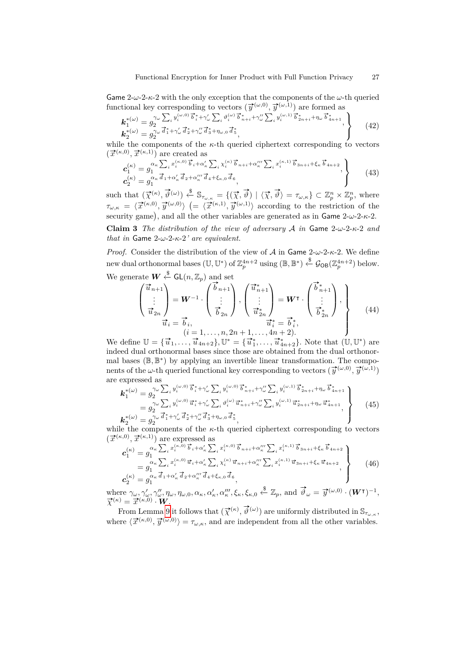Game  $2-\omega-2-\kappa-2$  with the only exception that the components of the  $\omega$ -th queried functional key corresponding to vectors  $(\vec{y}^{(\omega,0)}, \vec{y}^{(\omega,1)})$  are formed as

<span id="page-26-3"></span>
$$
\mathbf{k}_{1}^{*(\omega)} = g_{2}^{\gamma_{\omega} \sum_{i} y_{i}^{(\omega,0)}} \vec{b}_{i}^{*} + \gamma_{\omega}^{\prime} \sum_{i} \vartheta_{i}^{(\omega)} \vec{b}_{n+i}^{*} + \gamma_{\omega}^{\prime} \sum_{i} y_{i}^{(\omega,1)} \vec{b}_{2n+i}^{*} + \eta_{\omega} \vec{b}_{4n+1}^{*},
$$
\n
$$
\mathbf{k}_{2}^{*(\omega)} = g_{2}^{\gamma_{\omega}} \vec{d}_{1}^{*} + \gamma_{\omega}^{\prime} \vec{d}_{2}^{*} + \gamma_{\omega}^{\prime\prime} \vec{d}_{3}^{*} + \eta_{\omega,0} \vec{d}_{5}^{*},
$$
\n(42)

while the components of the *κ*-th queried ciphertext corresponding to vectors  $(\vec{x}^{(\kappa,0)}, \vec{x}^{(\kappa,1)})$  are created as

<span id="page-26-4"></span><span id="page-26-0"></span>
$$
c_{1}^{(\kappa)} = g_{1}^{\alpha_{\kappa}} \sum_{i} x_{i}^{(\kappa,0)} \vec{b}_{i} + \alpha_{\kappa}' \sum_{i} \chi_{i}^{(\kappa)} \vec{b}_{n+i} + \alpha_{\kappa}''' \sum_{i} x_{i}^{(\kappa,1)} \vec{b}_{3n+i} + \xi_{\kappa} \vec{b}_{4n+2},
$$
  
\n
$$
c_{2}^{(\kappa)} = g_{1}^{\alpha_{\kappa}} \vec{d}_{1} + \alpha_{\kappa}' \vec{d}_{2} + \alpha_{\kappa}''' \vec{d}_{4} + \xi_{\kappa,0} \vec{d}_{6},
$$
\n(43)

such that  $(\vec{\chi}^{(\kappa)}, \vec{\vartheta}^{(\omega)}) \stackrel{\$}{\leftarrow} \mathbb{S}_{\tau_{\omega,\kappa}} = \{(\vec{\chi}, \vec{\vartheta}) \mid \langle \vec{\chi}, \vec{\vartheta} \rangle = \tau_{\omega,\kappa}\} \subset \mathbb{Z}_p^n \times \mathbb{Z}_p^n$ , where  $\tau_{\omega,\kappa} = \langle \vec{x}^{(\kappa,0)}, \vec{y}^{(\omega,0)} \rangle \; (=\langle \vec{x}^{(\kappa,1)}, \vec{y}^{(\omega,1)} \rangle)$  according to the restriction of the security game , and all the other variables are generated as in Game 2-*ω*-2-*κ*-2.

**Claim 3** *The distribution of the view of adversary* A *in* Game 2-*ω*-2-*κ*-2 *and that in* Game 2-*ω*-2-*κ*-2*' are equivalent.*

*Proof.* Consider the distribution of the view of  $A$  in Game 2- $\omega$ -2- $\kappa$ -2. We define  $\mathcal{L}$  new dual orthonormal bases  $(\mathbb{U}, \mathbb{U}^*)$  of  $\mathbb{Z}_p^{4n+2}$  using  $(\mathbb{B}, \mathbb{B}^*) \overset{\$}{\leftarrow} \mathcal{G}_{\mathsf{OB}}(\mathbb{Z}_p^{4n+2})$  below.

<span id="page-26-5"></span>We generate 
$$
\boldsymbol{W} \stackrel{\$}{\leftarrow} \text{GL}(n, \mathbb{Z}_p)
$$
 and set  
\n
$$
\begin{pmatrix}\n\overrightarrow{u}_{n+1} \\
\vdots \\
\overrightarrow{u}_{2n}\n\end{pmatrix} = \boldsymbol{W}^{-1} \cdot \begin{pmatrix}\n\overrightarrow{b}_{n+1} \\
\vdots \\
\overrightarrow{b}_{2n}\n\end{pmatrix}, \begin{pmatrix}\n\overrightarrow{u}_{n+1}^* \\
\vdots \\
\overrightarrow{u}_{2n}^* \\
\vdots \\
\overrightarrow{u}_i^* = \overrightarrow{b}_i^*, \\
(i = 1, \dots, n, 2n + 1, \dots, 4n + 2).\n\end{pmatrix} = \boldsymbol{W}^{\mathsf{T}} \cdot \begin{pmatrix}\n\overrightarrow{b}_{n+1}^* \\
\vdots \\
\overrightarrow{b}_{2n}^* \\
\end{pmatrix},
$$
\n(44)

We define  $\mathbb{U} = {\vec{u}_1, ..., \vec{u}_{4n+2}}, \mathbb{U}^* = {\vec{u}_1^*, ..., \vec{u}_{4n+2}^*}.$  Note that  $(\mathbb{U}, \mathbb{U}^*)$  are indeed dual orthonormal bases since those are obtained from the dual orthonormal bases (**B**, **B**<sup>\*</sup>) by applying an invertible linear transformation. The components of the  $\omega$ -th queried functional key corresponding to vectors  $(\vec{y}^{(\omega,0)}, \vec{y}^{(\omega,1)})$ are expressed as

<span id="page-26-1"></span>
$$
\mathbf{k}_{1}^{*(\omega)} = g_{2}^{\gamma_{\omega}} \sum_{i} y_{i}^{(\omega,0)} \vec{b}_{i}^{*} + \gamma_{\omega}^{\prime} \sum_{i} y_{i}^{(\omega,0)} \vec{b}_{n+i}^{*} + \gamma_{\omega}^{\prime\prime} \sum_{i} y_{i}^{(\omega,1)} \vec{b}_{2n+i}^{*} + \eta_{\omega} \vec{b}_{4n+1}^{*} = g_{2}^{\gamma_{\omega}} \sum_{i} y_{i}^{(\omega,0)} \vec{u}_{i}^{*} + \gamma_{\omega}^{\prime} \sum_{i} \vartheta_{i}^{(\omega)} \vec{u}_{n+i}^{*} + \gamma_{\omega}^{\prime\prime} \sum_{i} y_{i}^{(\omega,1)} \vec{u}_{2n+i}^{*} + \eta_{\omega} \vec{u}_{4n+1}^{*}, \n\mathbf{k}_{2}^{*(\omega)} = g_{2}^{\gamma_{\omega}} \vec{d}_{1}^{*} + \gamma_{\omega}^{\prime} \vec{d}_{2}^{*} + \gamma_{\omega}^{\prime\prime} \vec{d}_{3}^{*} + \eta_{\omega,0} \vec{d}_{5}^{*},
$$
\n(45)

 $\mathbf{k}_2^{*(\omega)} = g_2^{\gamma_{\omega} a_1 + \gamma_{\omega} a_2 + \gamma_{\omega} a_3 + \eta_{\omega,0} a_5},$ <br>while the components of the *κ*-th queried ciphertext corresponding to vectors  $(\vec{x}^{(\kappa,0)}, \vec{x}^{(\kappa,1)})$  are expressed as

<span id="page-26-2"></span>
$$
\mathbf{c}_{1}^{(\kappa)} = g_{1}^{\alpha_{\kappa}} \sum_{i} x_{i}^{(\kappa,0)} \vec{b}_{i} + \alpha_{\kappa}' \sum_{i} x_{i}^{(\kappa,0)} \vec{b}_{n+i} + \alpha_{\kappa}'' \sum_{i} x_{i}^{(\kappa,1)} \vec{b}_{3n+i} + \xi_{\kappa} \vec{b}_{4n+2}
$$
\n
$$
= g_{1}^{\alpha_{\kappa}} \sum_{i} x_{i}^{(\kappa,0)} \vec{u}_{i} + \alpha_{\kappa}' \sum_{i} x_{i}^{(\kappa)} \vec{u}_{n+i} + \alpha_{\kappa}''' \sum_{i} x_{i}^{(\kappa,1)} \vec{u}_{3n+i} + \xi_{\kappa} \vec{u}_{4n+2},
$$
\n
$$
\mathbf{c}_{2}^{(\kappa)} = g_{1}^{\alpha_{\kappa}} \vec{d}_{1} + \alpha_{\kappa}' \vec{d}_{2} + \alpha_{\kappa}''' \vec{d}_{4} + \xi_{\kappa,0} \vec{d}_{6},
$$
\n(46)

where  $\gamma_{\omega}, \gamma_{\omega}', \gamma_{\omega}'', \eta_{\omega}, \eta_{\omega,0}, \alpha_{\kappa}, \alpha_{\kappa}', \alpha_{\kappa}'', \xi_{\kappa}, \xi_{\kappa,0} \stackrel{\$}{\leftarrow} \mathbb{Z}_p$ , and  $\overrightarrow{\vartheta}_{\omega} = \overrightarrow{\mathcal{Y}}^{(\omega,0)} \cdot (\mathbf{W}^{\mathsf{T}})^{-1}$ ,<br>  $\overrightarrow{\mathcal{X}}^{(\kappa)} = \overrightarrow{\mathcal{X}}^{(\kappa,0)} \cdot \mathbf{W}$ . From Lemma [9](#page-25-1) it follows that  $(\vec{\chi}^{(\kappa)}, \vec{\vartheta}^{(\omega)})$  are uniformly distributed in  $\mathbb{S}_{\tau_{\omega,\kappa}}$ ,

where  $\langle \vec{x}^{(\kappa,0)}, \vec{y}^{(\omega,0)} \rangle = \tau_{\omega,\kappa}$ , and are independent from all the other variables.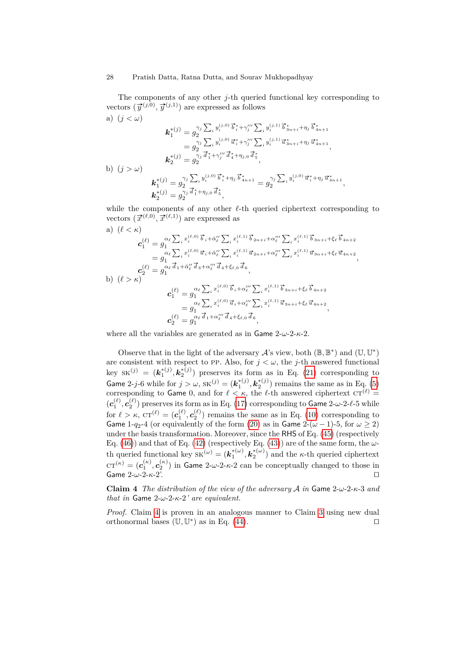The components of any other *j*-th queried functional key corresponding to vectors  $(\vec{y}^{(j,0)}, \vec{y}^{(j,1)})$  are expressed as follows a) (*j < ω*)

$$
\mathbf{k}_{1}^{*(j)} = g_{2}^{\gamma_{j}} \sum_{i} y_{i}^{(j,0)} \vec{b}_{i}^{*} + \gamma_{j}^{\prime\prime} \sum_{i} y_{i}^{(j,1)} \vec{b}_{3n+i}^{*} + \eta_{j} \vec{b}_{4n+1}^{*}
$$
\n
$$
= g_{2}^{\gamma_{j}} \sum_{i} y_{i}^{(j,0)} \vec{u}_{i}^{*} + \gamma_{j}^{\prime\prime} \sum_{i} y_{i}^{(j,1)} \vec{u}_{3n+i}^{*} + \eta_{j} \vec{u}_{4n+1}^{*},
$$
\n
$$
\mathbf{k}_{2}^{*(j)} = g_{2}^{\gamma_{j}} \vec{d}_{1}^{*} + \gamma_{j}^{\prime\prime} \vec{d}_{4}^{*} + \eta_{j,0} \vec{d}_{5}^{*},
$$

b) (*j > ω*)

$$
\begin{array}{l} \boldsymbol{k}_1^{*(j)}=g_2^{\gamma_j\sum_i y_i^{(j,0)} \vec{b}_{i}^*+\eta_j\, \vec{b}_{4n+1}^* }=g_2^{\gamma_j\sum_i y_i^{(j,0)} \vec{u}_{i}^*+\eta_j\, \vec{u}_{4n+1}^* }\\ \boldsymbol{k}_2^{*(j)}=g_2^{\gamma_j\, \vec{d}_{1}^*+\eta_{j,0}\, \vec{d}_{5}^*}, \end{array}
$$

*,*

while the components of any other  $\ell$ -th queried ciphertext corresponding to vectors  $(\vec{x}^{(\ell,0)}, \vec{x}^{(\ell,1)})$  are expressed as

a) 
$$
(\ell < \kappa)
$$
  
\n
$$
\mathbf{c}_{1}^{(\ell)} = g_{1}^{\alpha_{\ell} \sum_{i} x_{i}^{(\ell,0)}} \vec{b}_{i} + \check{\alpha}_{\ell}^{\prime\prime} \sum_{i} x_{i}^{(\ell,1)} \vec{b}_{2n+i} + \alpha_{\ell}^{\prime\prime\prime} \sum_{i} x_{i}^{(\ell,1)} \vec{b}_{3n+i} + \xi_{\ell} \vec{b}_{4n+2}
$$
\n
$$
= g_{1}^{\alpha_{\ell} \sum_{i} x_{i}^{(\ell,0)}} \vec{u}_{i} + \check{\alpha}_{\ell}^{\prime\prime} \sum_{i} x_{i}^{(\ell,1)} \vec{u}_{2n+i} + \alpha_{\ell}^{\prime\prime} \sum_{i} x_{i}^{(\ell,1)} \vec{u}_{3n+i} + \xi_{\ell} \vec{u}_{4n+2}
$$
\n
$$
\mathbf{c}_{2}^{(\ell)} = g_{1}^{\alpha_{\ell} \vec{d}_{1} + \check{\alpha}_{\ell}^{\prime\prime} \vec{d}_{3} + \alpha_{\ell}^{\prime\prime\prime} \vec{d}_{4} + \xi_{\ell,0} \vec{d}_{6},
$$
\nb)  $(\ell > \kappa)$   
\n
$$
\mathbf{c}_{1}^{(\ell)} = g_{1}^{\alpha_{\ell} \sum_{i} x_{i}^{(\ell,0)} \vec{b}_{i} + \alpha_{\ell}^{\prime\prime} \sum_{i} x_{i}^{(\ell,1)} \vec{b}_{3n+i} + \xi_{\ell} \vec{b}_{4n+2}
$$
\n
$$
= g_{1}^{\alpha_{\ell} \sum_{i} x_{i}^{(\ell,0)} \vec{u}_{i} + \alpha_{\ell}^{\prime\prime} \sum_{i} x_{i}^{(\ell,1)} \vec{u}_{3n+i} + \xi_{\ell} \vec{u}_{4n+2},
$$
\n
$$
\mathbf{c}_{2}^{(\ell)} = g_{1}^{\alpha_{\ell} \vec{d}_{1} + \alpha_{\ell}^{\prime\prime} \vec{d}_{4} + \xi_{\ell,0} \vec{d}_{6},
$$

where all the variables are generated as in Game  $2-\omega-2-\kappa-2$ .

Observe that in the light of the adversary  $\mathcal{A}$ 's view, both  $(\mathbb{B}, \mathbb{B}^*)$  and  $(\mathbb{U}, \mathbb{U}^*)$ are consistent with respect to PP. Also, for  $j < \omega$ , the *j*-th answered functional key  $SK^{(j)} = (k_1^{*(j)}, k_2^{*(j)})$  preserves its form as in Eq. [\(21\)](#page-15-1) corresponding to Game 2-*j*-6 while for  $j > \omega$ ,  $\text{SK}^{(j)} = (\mathbf{k}_1^{*(j)}, \mathbf{k}_2^{*(j)})$  remains the same as in Eq. [\(5\)](#page-11-2) corresponding to Game 0, and for  $\ell < \kappa$ , the  $\ell$ -th answered ciphertext  $cT^{(\ell)}$  =  $(c_1^{(\ell)}, c_2^{(\ell)})$  preserves its form as in Eq. [\(17\)](#page-14-0) corresponding to **Game** 2-*ω*-2- $\ell$ -5 while for  $\ell > \kappa$ ,  $CT^{(\ell)} = (c_1^{(\ell)}, c_2^{(\ell)})$  remains the same as in Eq. [\(10\)](#page-12-0) corresponding to Game 1- $q_2$ -4 (or equivalently of the form [\(20\)](#page-15-0) as in Game 2-( $\omega$  – 1)-5, for  $\omega \ge 2$ ) under the basis transformation. Moreover, since the RHS of Eq. [\(45\)](#page-26-1) (respectively Eq. [\(46\)](#page-26-2)) and that of Eq. [\(42\)](#page-26-3) (respectively Eq. [\(43\)](#page-26-4)) are of the same form, the  $\omega$ th queried functional key  $\mathrm{SK}^{(\omega)} = (\mathbf{k}_1^{*(\omega)}, \mathbf{k}_2^{*(\omega)})$  and the *κ*-th queried ciphertext  $cT^{(\kappa)} = (c_1^{(\kappa)}, c_2^{(\kappa)})$  in Game 2-*ω*-2-*κ*-2 can be conceptually changed to those in Game  $2-\omega-2-\kappa-2$ '.

<span id="page-27-0"></span>**Claim 4** *The distribution of the view of the adversary* A *in* Game 2-*ω*-2-*κ*-3 *and that in* Game 2-*ω*-2-*κ*-2*' are equivalent.*

*Proof.* Claim [4](#page-27-0) is proven in an analogous manner to Claim [3](#page-26-0) using new dual orthonormal bases  $(\mathbb{U}, \mathbb{U}^*)$  as in Eq. [\(44\)](#page-26-5).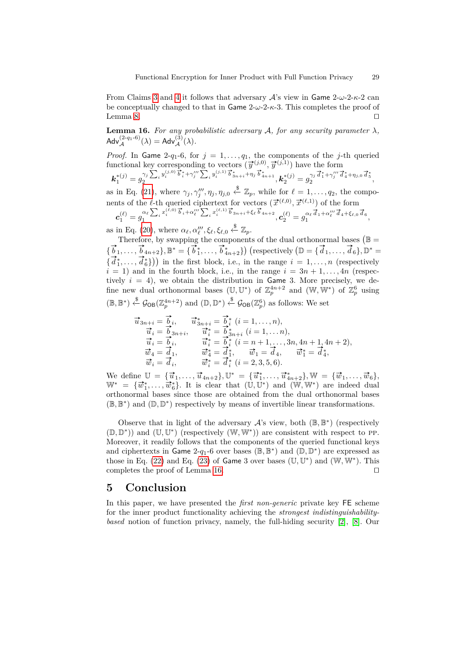From Claims [3](#page-26-0) and [4](#page-27-0) it follows that adversary  $\mathcal{A}$ 's view in Game  $2-\omega-2-\kappa-2$  can be conceptually changed to that in Game  $2-\omega-2-\kappa-3$ . This completes the proof of Lemma [8.](#page-25-0)  $\Box$ 

<span id="page-28-0"></span>**Lemma 16.** For any probabilistic adversary  $A$ , for any security parameter  $\lambda$ ,  $\mathsf{Adv}_{\mathcal{A}}^{(2-q_1-6)}(\lambda) = \mathsf{Adv}_{\mathcal{A}}^{(3)}(\lambda).$ 

*Proof.* In Game 2- $q_1$ -6, for  $j = 1, ..., q_1$ , the components of the *j*-th queried functional key corresponding to vectors  $(\vec{y}^{(j,0)}, \vec{y}^{(j,1)})$  have the form

$$
\boldsymbol{k}_1^{*(j)}=g_2^{\gamma_j\sum_i y_i^{(j,0)}\vec{b}_i^*+\gamma_j''\sum_i y_i^{(j,1)}\vec{b}_{3n+i}^*+\eta_j\vec{b}_{4n+1}^*\text{, } \boldsymbol{k}_2^{*(j)}=g_2^{\gamma_j\vec{d}_1^*+\gamma_j''\vec{d}_4^*+\eta_{j,0}\vec{d}_5^*}
$$

as in Eq. [\(21\)](#page-15-1), where  $\gamma_j, \gamma_j'', \eta_j, \eta_{j,0} \stackrel{\$}{\leftarrow} \mathbb{Z}_p$ , while for  $\ell = 1, \ldots, q_2$ , the components of the  $\ell$ -th queried ciphertext for vectors  $(\vec{x}^{(\ell,0)}, \vec{x}^{(\ell,1)})$  of the form

$$
\mathbf{c}_{1}^{(\ell)}=g_{1}^{\alpha_{\ell}\sum_{i}x_{i}^{(\ell,0)}\vec{b}_{i}+\alpha_{\ell}^{(\ell)}\sum_{i}x_{i}^{(\ell,1)}\vec{b}_{3n+i}+\xi_{\ell}\vec{b}_{4n+2}}, \mathbf{c}_{2}^{(\ell)}=g_{1}^{\alpha_{\ell}\vec{d}_{1}+\alpha_{\ell}^{(\ell)}\vec{d}_{4}+\xi_{\ell,0}\vec{d}_{6}},
$$

as in Eq. [\(20\)](#page-15-0), where  $\alpha_{\ell}, \alpha_{\ell}^{\prime\prime\prime}, \xi_{\ell}, \xi_{\ell,0} \stackrel{\$}{\leftarrow} \mathbb{Z}_p$ .

Therefore, by swapping the components of the dual orthonormal bases ( $\mathbb{B}$  =  ${\vec{b}}_1, \ldots, {\vec{b}}_{4n+2}, {\vec{b}}_1^* = {\vec{b}}_1^*, \ldots, {\vec{b}}_{4n+2}^*$  (respectively  $(\mathbb{D} = {\vec{d}}_1, \ldots, {\vec{d}}_6, {\vec{b}}_7^*, \ldots, {\vec{b}}_7^*$ )  $\{\vec{d}_1^*,\ldots,\vec{d}_6^*\}\)$  in the first block, i.e., in the range  $i = 1,\ldots,n$  (respectively)  $i = 1$ ) and in the fourth block, i.e., in the range  $i = 3n + 1, \ldots, 4n$  (respectively  $i = 4$ ), we obtain the distribution in Game 3. More precisely, we define new dual orthonormal bases (U, U<sup>\*</sup>) of  $\mathbb{Z}_p^{4n+2}$  and (W, W<sup>\*</sup>) of  $\mathbb{Z}_p^6$  using  $(\mathbb{B}, \mathbb{B}^*) \stackrel{\$}{\leftarrow} \mathcal{G}_{\mathsf{OB}}(\mathbb{Z}_p^{4n+2})$  and  $(\mathbb{D}, \mathbb{D}^*) \stackrel{\$}{\leftarrow} \mathcal{G}_{\mathsf{OB}}(\mathbb{Z}_p^6)$  as follows: We set

$$
\begin{array}{ll}\n\vec{u}_{3n+i} = \vec{b}_i, & \vec{u}_{3n+i}^* = \vec{b}_i^* \ (i = 1, \ldots, n), \\
\vec{u}_i = \vec{b}_{3n+i}, & \vec{u}_i^* = \vec{b}_{3n+i}^* \ (i = 1, \ldots n), \\
\vec{u}_i = \vec{b}_i, & \vec{u}_i^* = \vec{b}_i^* \ (i = n+1, \ldots, 3n, 4n+1, 4n+2), \\
\vec{w}_4 = \vec{d}_1, & \vec{w}_4^* = \vec{d}_1^*, & \vec{w}_1 = \vec{d}_4, & \vec{w}_1^* = \vec{d}_4^*, \\
\vec{w}_i = \vec{d}_i, & \vec{w}_i^* = \vec{d}_i^* \ (i = 2, 3, 5, 6).\n\end{array}
$$

We define  $\mathbb{U} = {\{\vec{u}_1, ..., \vec{u}_{4n+2}\}, \mathbb{U}^* = {\{\vec{u}_1^*, ..., \vec{u}_{4n+2}^*\}}, \mathbb{W} = {\{\vec{w}_1, ..., \vec{w}_6\}}$  $W^* = {\overrightarrow{w}_1, \ldots, \overrightarrow{w}_6^*}$ . It is clear that  $(\mathbb{U}, \mathbb{U}^*)$  and  $(\mathbb{W}, \mathbb{W}^*)$  are indeed dual orthonormal bases since those are obtained from the dual orthonormal bases  $(\mathbb{B}, \mathbb{B}^*)$  and  $(\mathbb{D}, \mathbb{D}^*)$  respectively by means of invertible linear transformations.

Observe that in light of the adversary  $\mathcal{A}$ 's view, both  $(\mathbb{B}, \mathbb{B}^*)$  (respectively (D*,* D ∗ )) and (U*,* U ∗ ) (respectively (W*,* W<sup>∗</sup> )) are consistent with respect to pp. Moreover, it readily follows that the components of the queried functional keys and ciphertexts in Game 2- $q_1$ -6 over bases ( $\mathbb{B}, \mathbb{B}^*$ ) and ( $\mathbb{D}, \mathbb{D}^*$ ) are expressed as those in Eq. [\(22\)](#page-15-2) and Eq. [\(23\)](#page-15-3) of Game 3 over bases  $(\mathbb{U}, \mathbb{U}^*)$  and  $(\mathbb{W}, \mathbb{W}^*)$ . This completes the proof of Lemma [16.](#page-28-0)  $\Box$ 

# **5 Conclusion**

In this paper, we have presented the *first non-generic* private key FE scheme for the inner product functionality achieving the *strongest indistinguishabilitybased* notion of function privacy, namely, the full-hiding security [\[2\]](#page-29-7), [\[8\]](#page-29-8). Our

*,*